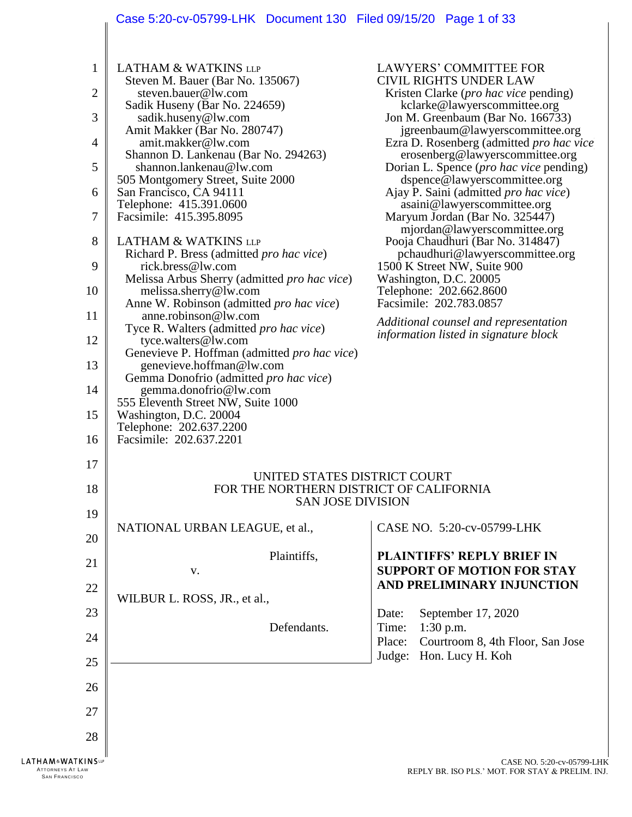# Case 5:20-cv-05799-LHK Document 130 Filed 09/15/20 Page 1 of 33

| $\mathbf{1}$<br><b>LATHAM &amp; WATKINS LLP</b><br>Steven M. Bauer (Bar No. 135067)<br>2<br>steven.bauer@lw.com<br>Sadik Huseny (Bar No. 224659)<br>3<br>sadik.huseny@lw.com<br>Amit Makker (Bar No. 280747)<br>amit.makker@lw.com<br>4<br>Shannon D. Lankenau (Bar No. 294263)<br>5<br>shannon.lankenau@lw.com<br>505 Montgomery Street, Suite 2000<br>San Francisco, CA 94111<br>6<br>Telephone: 415.391.0600<br>7<br>Facsimile: 415.395.8095<br>8<br><b>LATHAM &amp; WATKINS LLP</b><br>Richard P. Bress (admitted pro hac vice)<br>9<br>rick.bress@lw.com<br>Melissa Arbus Sherry (admitted pro hac vice)<br>10<br>melissa.sherry@lw.com<br>Anne W. Robinson (admitted pro hac vice)<br>11<br>anne.robinson@lw.com<br>Tyce R. Walters (admitted pro hac vice)<br>12<br>tyce.walters@lw.com<br>Genevieve P. Hoffman (admitted pro hac vice)<br>13<br>genevieve.hoffman@lw.com<br>Gemma Donofrio (admitted pro hac vice)<br>14<br>gemma.donofrio@lw.com<br>555 Eleventh Street NW, Suite 1000<br>15<br>Washington, D.C. 20004<br>Telephone: 202.637.2200<br>16<br>Facsimile: 202.637.2201<br>17 |                                                                                                     | <b>LAWYERS' COMMITTEE FOR</b><br><b>CIVIL RIGHTS UNDER LAW</b><br>Kristen Clarke ( <i>pro hac vice</i> pending)<br>kclarke@lawyerscommittee.org<br>Jon M. Greenbaum (Bar No. 166733)<br>jgreenbaum@lawyerscommittee.org<br>Ezra D. Rosenberg (admitted pro hac vice<br>erosenberg@lawyerscommittee.org<br>Dorian L. Spence ( <i>pro hac vice</i> pending)<br>dspence@lawyerscommittee.org<br>Ajay P. Saini (admitted pro hac vice)<br>asaini@lawyerscommittee.org<br>Maryum Jordan (Bar No. 325447)<br>mjordan@lawyerscommittee.org<br>Pooja Chaudhuri (Bar No. 314847)<br>pchaudhuri@lawyerscommittee.org<br>1500 K Street NW, Suite 900<br>Washington, D.C. 20005<br>Telephone: 202.662.8600<br>Facsimile: 202.783.0857<br>Additional counsel and representation<br>information listed in signature block |  |
|---------------------------------------------------------------------------------------------------------------------------------------------------------------------------------------------------------------------------------------------------------------------------------------------------------------------------------------------------------------------------------------------------------------------------------------------------------------------------------------------------------------------------------------------------------------------------------------------------------------------------------------------------------------------------------------------------------------------------------------------------------------------------------------------------------------------------------------------------------------------------------------------------------------------------------------------------------------------------------------------------------------------------------------------------------------------------------------------------|-----------------------------------------------------------------------------------------------------|-------------------------------------------------------------------------------------------------------------------------------------------------------------------------------------------------------------------------------------------------------------------------------------------------------------------------------------------------------------------------------------------------------------------------------------------------------------------------------------------------------------------------------------------------------------------------------------------------------------------------------------------------------------------------------------------------------------------------------------------------------------------------------------------------------------|--|
| 18                                                                                                                                                                                                                                                                                                                                                                                                                                                                                                                                                                                                                                                                                                                                                                                                                                                                                                                                                                                                                                                                                                | UNITED STATES DISTRICT COURT<br>FOR THE NORTHERN DISTRICT OF CALIFORNIA<br><b>SAN JOSE DIVISION</b> |                                                                                                                                                                                                                                                                                                                                                                                                                                                                                                                                                                                                                                                                                                                                                                                                             |  |
| 19                                                                                                                                                                                                                                                                                                                                                                                                                                                                                                                                                                                                                                                                                                                                                                                                                                                                                                                                                                                                                                                                                                |                                                                                                     |                                                                                                                                                                                                                                                                                                                                                                                                                                                                                                                                                                                                                                                                                                                                                                                                             |  |
| 20                                                                                                                                                                                                                                                                                                                                                                                                                                                                                                                                                                                                                                                                                                                                                                                                                                                                                                                                                                                                                                                                                                | NATIONAL URBAN LEAGUE, et al.,                                                                      | CASE NO. 5:20-cv-05799-LHK                                                                                                                                                                                                                                                                                                                                                                                                                                                                                                                                                                                                                                                                                                                                                                                  |  |
| 21                                                                                                                                                                                                                                                                                                                                                                                                                                                                                                                                                                                                                                                                                                                                                                                                                                                                                                                                                                                                                                                                                                | Plaintiffs,<br>V.                                                                                   | <b>PLAINTIFFS' REPLY BRIEF IN</b><br><b>SUPPORT OF MOTION FOR STAY</b>                                                                                                                                                                                                                                                                                                                                                                                                                                                                                                                                                                                                                                                                                                                                      |  |
| 22                                                                                                                                                                                                                                                                                                                                                                                                                                                                                                                                                                                                                                                                                                                                                                                                                                                                                                                                                                                                                                                                                                |                                                                                                     | AND PRELIMINARY INJUNCTION                                                                                                                                                                                                                                                                                                                                                                                                                                                                                                                                                                                                                                                                                                                                                                                  |  |
| 23                                                                                                                                                                                                                                                                                                                                                                                                                                                                                                                                                                                                                                                                                                                                                                                                                                                                                                                                                                                                                                                                                                | WILBUR L. ROSS, JR., et al.,                                                                        | September 17, 2020<br>Date:                                                                                                                                                                                                                                                                                                                                                                                                                                                                                                                                                                                                                                                                                                                                                                                 |  |
| 24                                                                                                                                                                                                                                                                                                                                                                                                                                                                                                                                                                                                                                                                                                                                                                                                                                                                                                                                                                                                                                                                                                | Defendants.                                                                                         | 1:30 p.m.<br>Time:<br>Courtroom 8, 4th Floor, San Jose<br>Place:                                                                                                                                                                                                                                                                                                                                                                                                                                                                                                                                                                                                                                                                                                                                            |  |
| 25                                                                                                                                                                                                                                                                                                                                                                                                                                                                                                                                                                                                                                                                                                                                                                                                                                                                                                                                                                                                                                                                                                |                                                                                                     | Hon. Lucy H. Koh<br>Judge:                                                                                                                                                                                                                                                                                                                                                                                                                                                                                                                                                                                                                                                                                                                                                                                  |  |
| 26                                                                                                                                                                                                                                                                                                                                                                                                                                                                                                                                                                                                                                                                                                                                                                                                                                                                                                                                                                                                                                                                                                |                                                                                                     |                                                                                                                                                                                                                                                                                                                                                                                                                                                                                                                                                                                                                                                                                                                                                                                                             |  |
| 27                                                                                                                                                                                                                                                                                                                                                                                                                                                                                                                                                                                                                                                                                                                                                                                                                                                                                                                                                                                                                                                                                                |                                                                                                     |                                                                                                                                                                                                                                                                                                                                                                                                                                                                                                                                                                                                                                                                                                                                                                                                             |  |
| 28                                                                                                                                                                                                                                                                                                                                                                                                                                                                                                                                                                                                                                                                                                                                                                                                                                                                                                                                                                                                                                                                                                |                                                                                                     |                                                                                                                                                                                                                                                                                                                                                                                                                                                                                                                                                                                                                                                                                                                                                                                                             |  |
| <b>LATHAM&amp;WATKINS</b>                                                                                                                                                                                                                                                                                                                                                                                                                                                                                                                                                                                                                                                                                                                                                                                                                                                                                                                                                                                                                                                                         |                                                                                                     | CASE NO. 5:20-cv-05799-L                                                                                                                                                                                                                                                                                                                                                                                                                                                                                                                                                                                                                                                                                                                                                                                    |  |

 $\parallel$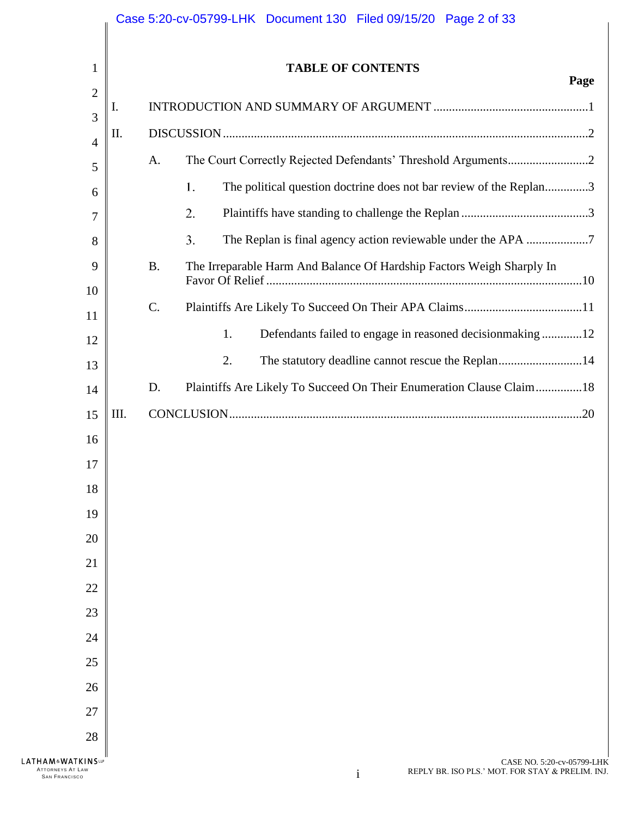|                                                                     | Case 5:20-cv-05799-LHK Document 130 Filed 09/15/20 Page 2 of 33 |                                                                                                |      |
|---------------------------------------------------------------------|-----------------------------------------------------------------|------------------------------------------------------------------------------------------------|------|
| 1                                                                   |                                                                 | <b>TABLE OF CONTENTS</b>                                                                       | Page |
| $\overline{2}$                                                      | I.                                                              |                                                                                                |      |
| 3                                                                   | П.                                                              |                                                                                                |      |
| 4                                                                   |                                                                 | A.                                                                                             |      |
| 5                                                                   |                                                                 | The political question doctrine does not bar review of the Replan3<br>1.                       |      |
| 6<br>7                                                              |                                                                 | 2.                                                                                             |      |
| 8                                                                   |                                                                 | The Replan is final agency action reviewable under the APA 7<br>3.                             |      |
| 9                                                                   |                                                                 | The Irreparable Harm And Balance Of Hardship Factors Weigh Sharply In<br><b>B.</b>             |      |
| 10                                                                  |                                                                 |                                                                                                |      |
| 11                                                                  |                                                                 | $C$ .                                                                                          |      |
| 12                                                                  |                                                                 | Defendants failed to engage in reasoned decisionmaking 12<br>1.                                |      |
| 13                                                                  |                                                                 | 2.<br>The statutory deadline cannot rescue the Replan14                                        |      |
| 14                                                                  |                                                                 | Plaintiffs Are Likely To Succeed On Their Enumeration Clause Claim18<br>D.                     |      |
| 15                                                                  | III.                                                            |                                                                                                |      |
| 16                                                                  |                                                                 |                                                                                                |      |
| 17                                                                  |                                                                 |                                                                                                |      |
| 18                                                                  |                                                                 |                                                                                                |      |
| 19                                                                  |                                                                 |                                                                                                |      |
| 20                                                                  |                                                                 |                                                                                                |      |
| 21                                                                  |                                                                 |                                                                                                |      |
| 22                                                                  |                                                                 |                                                                                                |      |
| 23                                                                  |                                                                 |                                                                                                |      |
| 24                                                                  |                                                                 |                                                                                                |      |
| 25                                                                  |                                                                 |                                                                                                |      |
| 26                                                                  |                                                                 |                                                                                                |      |
| 27                                                                  |                                                                 |                                                                                                |      |
| 28                                                                  |                                                                 |                                                                                                |      |
| LATHAM&WATKINSLP<br><b>ATTORNEYS AT LAW</b><br><b>SAN FRANCISCO</b> |                                                                 | CASE NO. 5:20-cv-05799-LHK<br>REPLY BR. ISO PLS.' MOT. FOR STAY & PRELIM. INJ.<br><sup>1</sup> |      |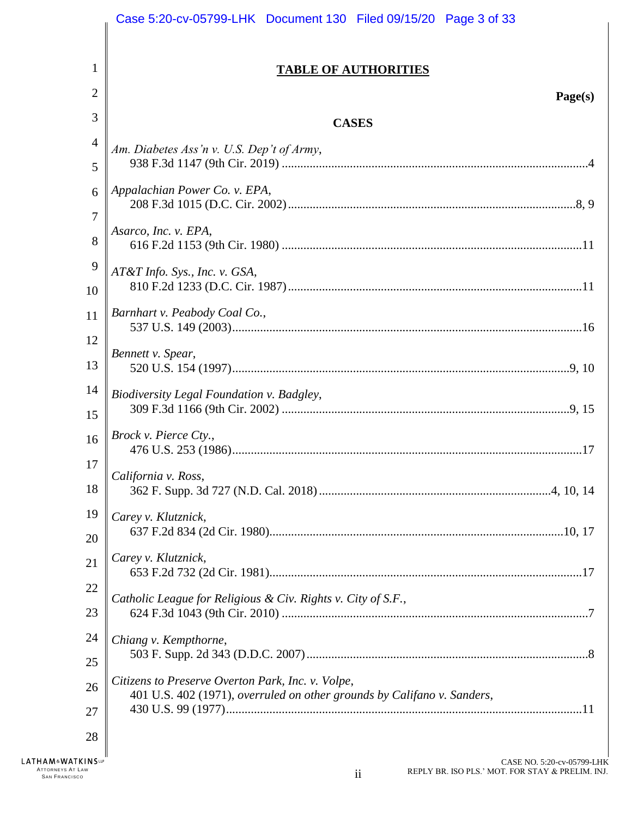|                                                                              | Case 5:20-cv-05799-LHK Document 130 Filed 09/15/20 Page 3 of 33                                                              |
|------------------------------------------------------------------------------|------------------------------------------------------------------------------------------------------------------------------|
|                                                                              |                                                                                                                              |
| 1                                                                            | <b>TABLE OF AUTHORITIES</b>                                                                                                  |
| 2                                                                            | Page(s)                                                                                                                      |
| 3                                                                            | <b>CASES</b>                                                                                                                 |
| 4                                                                            | Am. Diabetes Ass'n v. U.S. Dep't of Army,                                                                                    |
| 5                                                                            |                                                                                                                              |
| 6<br>7                                                                       | Appalachian Power Co. v. EPA,                                                                                                |
| 8                                                                            | Asarco, Inc. v. EPA,                                                                                                         |
| 9                                                                            | AT&T Info. Sys., Inc. v. GSA,                                                                                                |
| 10                                                                           |                                                                                                                              |
| 11                                                                           | Barnhart v. Peabody Coal Co.,                                                                                                |
| 12                                                                           |                                                                                                                              |
| 13                                                                           | Bennett v. Spear,                                                                                                            |
| 14                                                                           | Biodiversity Legal Foundation v. Badgley,                                                                                    |
| 15                                                                           |                                                                                                                              |
| 16                                                                           | Brock v. Pierce Cty.,                                                                                                        |
| 17                                                                           | California v. Ross,                                                                                                          |
| 18                                                                           |                                                                                                                              |
| 19                                                                           | Carey v. Klutznick,                                                                                                          |
| 20                                                                           |                                                                                                                              |
| 21                                                                           | Carey v. Klutznick,                                                                                                          |
| 22                                                                           | Catholic League for Religious & Civ. Rights v. City of S.F.,                                                                 |
| 23                                                                           |                                                                                                                              |
| 24                                                                           | Chiang v. Kempthorne,                                                                                                        |
| 25                                                                           |                                                                                                                              |
| 26                                                                           | Citizens to Preserve Overton Park, Inc. v. Volpe,<br>401 U.S. 402 (1971), overruled on other grounds by Califano v. Sanders, |
| 27                                                                           |                                                                                                                              |
| 28                                                                           |                                                                                                                              |
| <b>LATHAM&amp;WATKINS</b><br><b>ATTORNEYS AT LAW</b><br><b>SAN FRANCISCO</b> | CASE NO. 5:20-cv-05799-LHK<br>REPLY BR. ISO PLS.' MOT. FOR STAY & PRELIM. INJ.<br>$\overline{\mathbf{u}}$                    |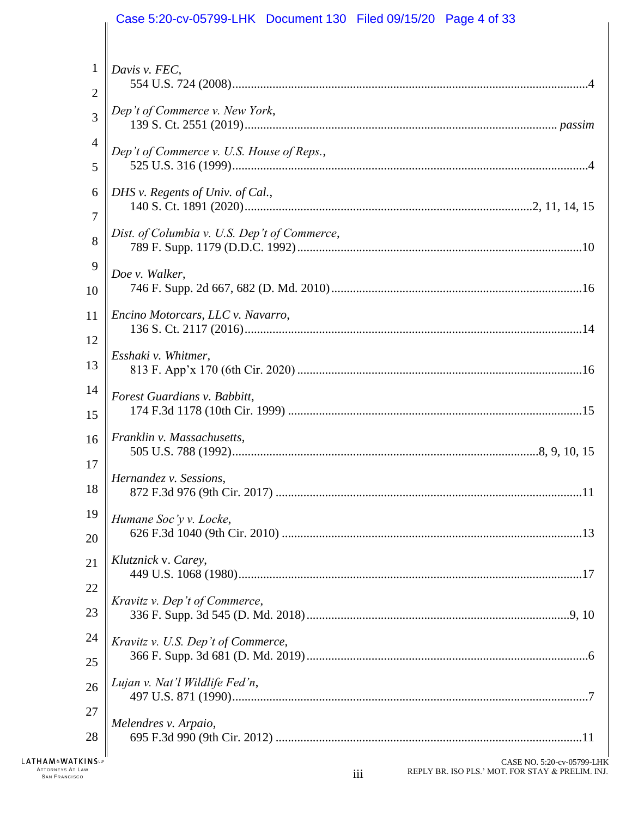|                | Case 5:20-cv-05799-LHK  Document 130  Filed 09/15/20  Page 4 of 33 |
|----------------|--------------------------------------------------------------------|
| $\mathbf{1}$   | Davis v. FEC,                                                      |
| $\overline{2}$ |                                                                    |
| 3              | Dep't of Commerce v. New York,                                     |
| $\overline{4}$ | Dep't of Commerce v. U.S. House of Reps.,                          |
| 5              |                                                                    |
| 6              | DHS v. Regents of Univ. of Cal.,                                   |
| $\overline{7}$ |                                                                    |
| 8              | Dist. of Columbia v. U.S. Dep't of Commerce,                       |
| 9              | Doe v. Walker,                                                     |
| 10             |                                                                    |
| 11             | Encino Motorcars, LLC v. Navarro,                                  |
| 12             |                                                                    |
| 13             | Esshaki v. Whitmer,                                                |
| 14             | Forest Guardians v. Babbitt,                                       |
| 15             |                                                                    |
| 16             | Franklin v. Massachusetts,                                         |
| 17             | Hernandez v. Sessions,                                             |
| 18             |                                                                    |
| 19             | Humane Soc'y v. Locke,                                             |
| 20             |                                                                    |
| 21             | Klutznick v. Carey,                                                |
| 22             | Kravitz v. Dep't of Commerce,                                      |
| 23             |                                                                    |
| 24             | Kravitz v. U.S. Dep't of Commerce,                                 |
| 25             |                                                                    |
| 26             | Lujan v. Nat'l Wildlife Fed'n,                                     |
| 27             | Melendres v. Arpaio,                                               |
| 28             |                                                                    |
| <b>KINC</b> ID | $C$ ARE NO. 5.20 av 05700 LI                                       |

**LATHAM**<sup>&</sup>**WATKINS** ATTORNEYS AT LAW<br>SAN FRANCISCO **in the San Action of the San Action of the San Action of The San Action of The San Action of The S**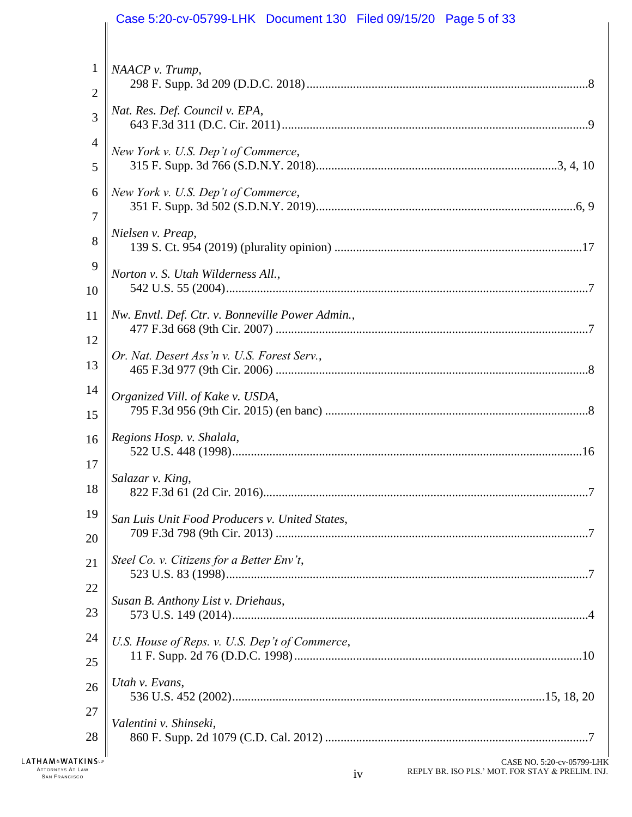|                | Case 5:20-cv-05799-LHK Document 130 Filed 09/15/20 Page 5 of 33 |
|----------------|-----------------------------------------------------------------|
| $\mathbf{1}$   | NAACP v. Trump,                                                 |
| $\overline{2}$ |                                                                 |
| 3              | Nat. Res. Def. Council v. EPA,                                  |
| $\overline{4}$ | New York v. U.S. Dep't of Commerce,                             |
| 5              |                                                                 |
| 6              | New York v. U.S. Dep't of Commerce,                             |
| 7              |                                                                 |
| 8              | Nielsen v. Preap,                                               |
| 9              | Norton v. S. Utah Wilderness All.,                              |
| 10             |                                                                 |
| 11             | Nw. Envtl. Def. Ctr. v. Bonneville Power Admin.,                |
| 12             |                                                                 |
| 13             | Or. Nat. Desert Ass'n v. U.S. Forest Serv.,                     |
| 14             | Organized Vill. of Kake v. USDA,                                |
| 15             |                                                                 |
| 16             | Regions Hosp. v. Shalala,                                       |
| 17             |                                                                 |
| 18             | Salazar v. King,                                                |
| 19             | San Luis Unit Food Producers v. United States,                  |
| 20             |                                                                 |
| 21             | Steel Co. v. Citizens for a Better Env't,                       |
| 22             |                                                                 |
| 23             | Susan B. Anthony List v. Driehaus,                              |
| 24             | U.S. House of Reps. v. U.S. Dep't of Commerce,                  |
| 25             |                                                                 |
| 26             | Utah v. Evans,                                                  |
| 27             |                                                                 |
| 28             | Valentini v. Shinseki,                                          |
| (INSHP         | CASE NO. 5:20-cv-05799-LE                                       |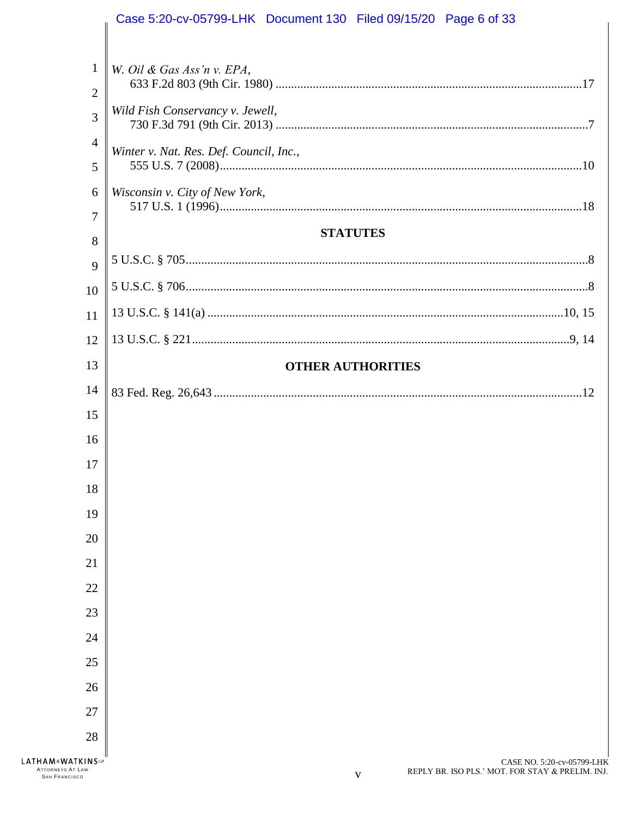|                                                                                | Case 5:20-cv-05799-LHK  Document 130  Filed 09/15/20  Page 6 of 33                  |
|--------------------------------------------------------------------------------|-------------------------------------------------------------------------------------|
|                                                                                |                                                                                     |
| $\mathbf{1}$                                                                   | W. Oil & Gas Ass'n v. EPA,                                                          |
| $\overline{2}$                                                                 |                                                                                     |
| 3                                                                              | Wild Fish Conservancy v. Jewell,                                                    |
| $\overline{4}$                                                                 | Winter v. Nat. Res. Def. Council, Inc.,                                             |
| 5                                                                              |                                                                                     |
| 6                                                                              | Wisconsin v. City of New York,                                                      |
| 7                                                                              |                                                                                     |
| 8                                                                              | <b>STATUTES</b>                                                                     |
| 9                                                                              |                                                                                     |
| 10                                                                             |                                                                                     |
| 11                                                                             |                                                                                     |
| 12                                                                             |                                                                                     |
| 13                                                                             | <b>OTHER AUTHORITIES</b>                                                            |
| 14                                                                             |                                                                                     |
| 15                                                                             |                                                                                     |
| 16                                                                             |                                                                                     |
| 17                                                                             |                                                                                     |
| 18                                                                             |                                                                                     |
| 19                                                                             |                                                                                     |
| 20                                                                             |                                                                                     |
| 21                                                                             |                                                                                     |
| 22                                                                             |                                                                                     |
| 23                                                                             |                                                                                     |
| 24                                                                             |                                                                                     |
| 25                                                                             |                                                                                     |
| 26                                                                             |                                                                                     |
| 27                                                                             |                                                                                     |
| 28                                                                             |                                                                                     |
| <b>LATHAM&amp;WATKINSUP</b><br><b>ATTORNEYS AT LAW</b><br><b>SAN FRANCISCO</b> | CASE NO. 5:20-cv-05799-LHK<br>REPLY BR. ISO PLS.' MOT. FOR STAY & PRELIM. INJ.<br>V |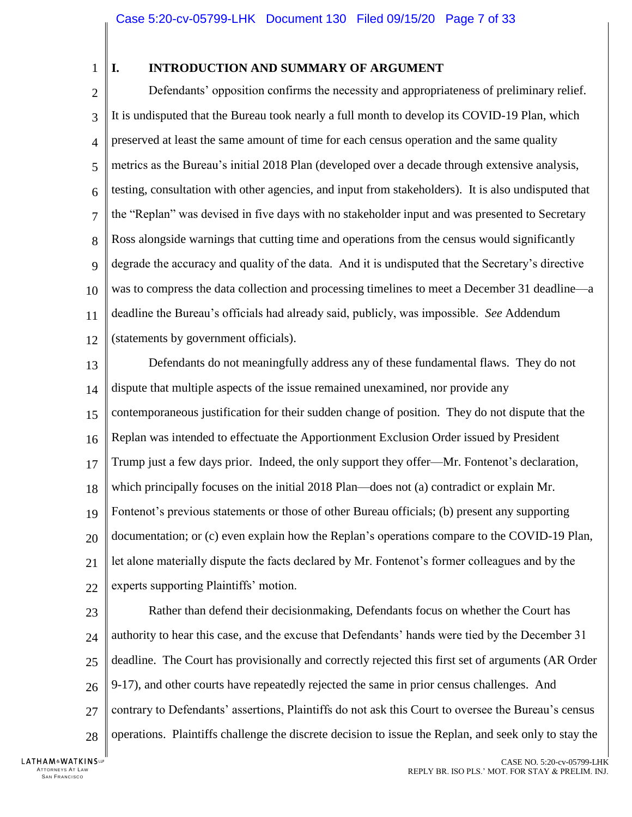1

## <span id="page-6-0"></span>**I. INTRODUCTION AND SUMMARY OF ARGUMENT**

 $\overline{2}$ 3 4 5 6 7 8 9 10 11 12 Defendants' opposition confirms the necessity and appropriateness of preliminary relief. It is undisputed that the Bureau took nearly a full month to develop its COVID-19 Plan, which preserved at least the same amount of time for each census operation and the same quality metrics as the Bureau's initial 2018 Plan (developed over a decade through extensive analysis, testing, consultation with other agencies, and input from stakeholders). It is also undisputed that the "Replan" was devised in five days with no stakeholder input and was presented to Secretary Ross alongside warnings that cutting time and operations from the census would significantly degrade the accuracy and quality of the data. And it is undisputed that the Secretary's directive was to compress the data collection and processing timelines to meet a December 31 deadline—a deadline the Bureau's officials had already said, publicly, was impossible. *See* Addendum (statements by government officials).

13 14 15 16 17 18 19 20 21 22 Defendants do not meaningfully address any of these fundamental flaws. They do not dispute that multiple aspects of the issue remained unexamined, nor provide any contemporaneous justification for their sudden change of position. They do not dispute that the Replan was intended to effectuate the Apportionment Exclusion Order issued by President Trump just a few days prior. Indeed, the only support they offer—Mr. Fontenot's declaration, which principally focuses on the initial 2018 Plan—does not (a) contradict or explain Mr. Fontenot's previous statements or those of other Bureau officials; (b) present any supporting documentation; or (c) even explain how the Replan's operations compare to the COVID-19 Plan, let alone materially dispute the facts declared by Mr. Fontenot's former colleagues and by the experts supporting Plaintiffs' motion.

23 24 25 26 27 28 Rather than defend their decisionmaking, Defendants focus on whether the Court has authority to hear this case, and the excuse that Defendants' hands were tied by the December 31 deadline. The Court has provisionally and correctly rejected this first set of arguments (AR Order 9-17), and other courts have repeatedly rejected the same in prior census challenges. And contrary to Defendants' assertions, Plaintiffs do not ask this Court to oversee the Bureau's census operations. Plaintiffs challenge the discrete decision to issue the Replan, and seek only to stay the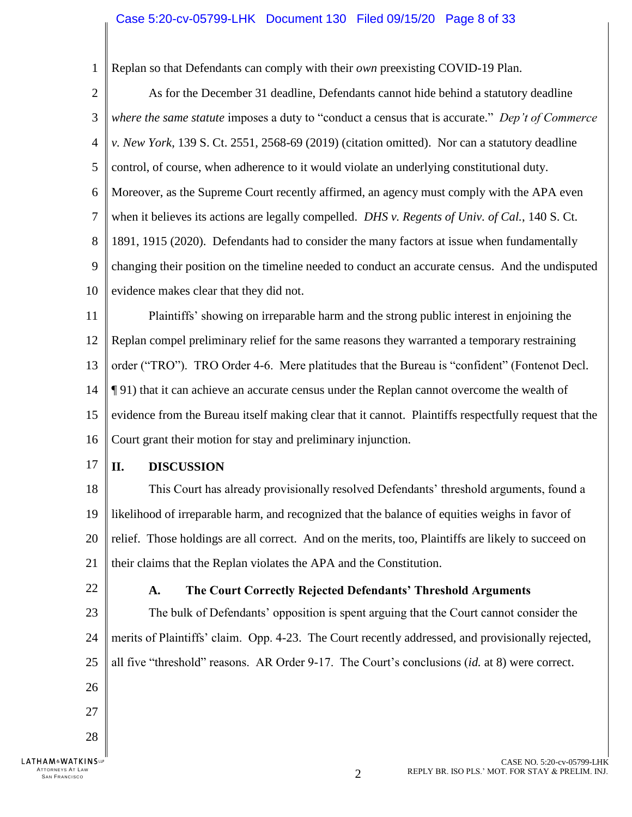<span id="page-7-2"></span>1 Replan so that Defendants can comply with their *own* preexisting COVID-19 Plan.

 $\overline{2}$ 3 4 5 6 7 8 9 10 As for the December 31 deadline, Defendants cannot hide behind a statutory deadline *where the same statute* imposes a duty to "conduct a census that is accurate." *Dep't of Commerce v. New York*, 139 S. Ct. 2551, 2568-69 (2019) (citation omitted). Nor can a statutory deadline control, of course, when adherence to it would violate an underlying constitutional duty. Moreover, as the Supreme Court recently affirmed, an agency must comply with the APA even when it believes its actions are legally compelled. *DHS v. Regents of Univ. of Cal.*, 140 S. Ct. 1891, 1915 (2020). Defendants had to consider the many factors at issue when fundamentally changing their position on the timeline needed to conduct an accurate census. And the undisputed evidence makes clear that they did not.

<span id="page-7-3"></span>11 12 13 14 15 16 Plaintiffs' showing on irreparable harm and the strong public interest in enjoining the Replan compel preliminary relief for the same reasons they warranted a temporary restraining order ("TRO"). TRO Order 4-6. Mere platitudes that the Bureau is "confident" (Fontenot Decl. ¶ 91) that it can achieve an accurate census under the Replan cannot overcome the wealth of evidence from the Bureau itself making clear that it cannot. Plaintiffs respectfully request that the Court grant their motion for stay and preliminary injunction.

17

#### <span id="page-7-0"></span>**II. DISCUSSION**

18 19 20 21 This Court has already provisionally resolved Defendants' threshold arguments, found a likelihood of irreparable harm, and recognized that the balance of equities weighs in favor of relief. Those holdings are all correct. And on the merits, too, Plaintiffs are likely to succeed on their claims that the Replan violates the APA and the Constitution.

<span id="page-7-1"></span>22

26

27

28

ATTORNEYS AT LAW<br>SAN FRANCISCO

**LATHAM&WATKINSLP** 

### **A. The Court Correctly Rejected Defendants' Threshold Arguments**

23 24 25 The bulk of Defendants' opposition is spent arguing that the Court cannot consider the merits of Plaintiffs' claim. Opp. 4-23. The Court recently addressed, and provisionally rejected, all five "threshold" reasons. AR Order 9-17. The Court's conclusions (*id.* at 8) were correct.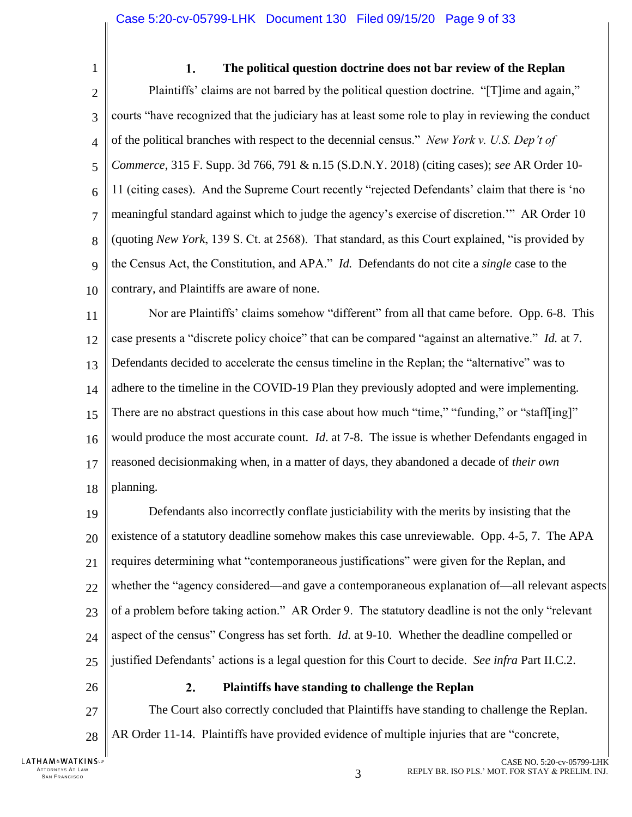<span id="page-8-0"></span>1

#### <span id="page-8-2"></span> $1.$ **The political question doctrine does not bar review of the Replan**

 $\overline{2}$ 3 4 5 6 7 8 9 10 Plaintiffs' claims are not barred by the political question doctrine. "[T]ime and again," courts "have recognized that the judiciary has at least some role to play in reviewing the conduct of the political branches with respect to the decennial census." *New York v. U.S. Dep't of Commerce*, 315 F. Supp. 3d 766, 791 & n.15 (S.D.N.Y. 2018) (citing cases); *see* AR Order 10- 11 (citing cases). And the Supreme Court recently "rejected Defendants' claim that there is 'no meaningful standard against which to judge the agency's exercise of discretion.'" AR Order 10 (quoting *New York*, 139 S. Ct. at 2568). That standard, as this Court explained, "is provided by the Census Act, the Constitution, and APA." *Id.* Defendants do not cite a *single* case to the contrary, and Plaintiffs are aware of none.

11 12 13 14 15 16 17 18 Nor are Plaintiffs' claims somehow "different" from all that came before. Opp. 6-8. This case presents a "discrete policy choice" that can be compared "against an alternative." *Id.* at 7. Defendants decided to accelerate the census timeline in the Replan; the "alternative" was to adhere to the timeline in the COVID-19 Plan they previously adopted and were implementing. There are no abstract questions in this case about how much "time," "funding," or "staff[ing]" would produce the most accurate count*. Id*. at 7-8. The issue is whether Defendants engaged in reasoned decisionmaking when, in a matter of days, they abandoned a decade of *their own*  planning.

19 20 21 22 23 24 25 Defendants also incorrectly conflate justiciability with the merits by insisting that the existence of a statutory deadline somehow makes this case unreviewable. Opp. 4-5, 7. The APA requires determining what "contemporaneous justifications" were given for the Replan, and whether the "agency considered—and gave a contemporaneous explanation of—all relevant aspects of a problem before taking action." AR Order 9. The statutory deadline is not the only "relevant aspect of the census" Congress has set forth. *Id.* at 9-10. Whether the deadline compelled or justified Defendants' actions is a legal question for this Court to decide. *See infra* Part II.C.2.

<span id="page-8-1"></span>26

27

28

#### $2.$ **Plaintiffs have standing to challenge the Replan**

The Court also correctly concluded that Plaintiffs have standing to challenge the Replan. AR Order 11-14. Plaintiffs have provided evidence of multiple injuries that are "concrete,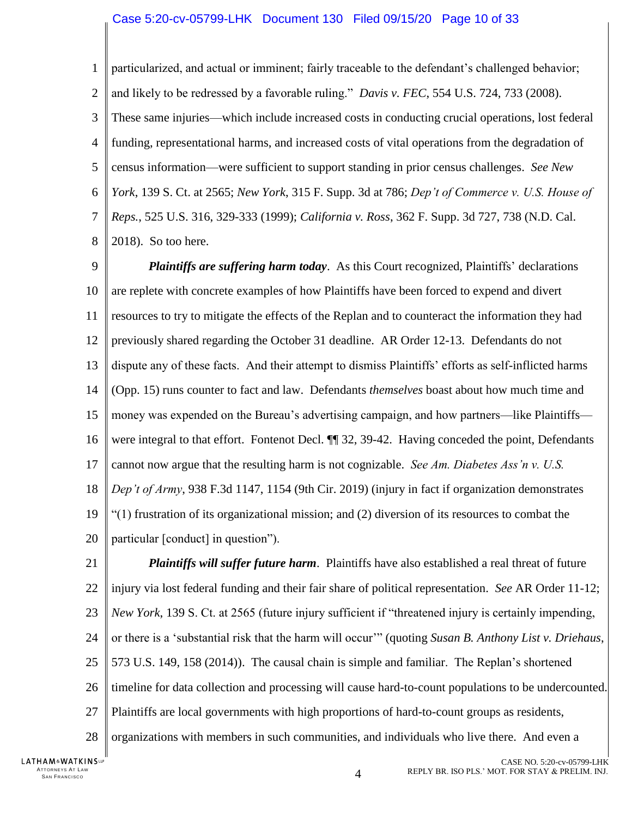#### <span id="page-9-2"></span>Case 5:20-cv-05799-LHK Document 130 Filed 09/15/20 Page 10 of 33

1  $\overline{2}$ 3 4 5 6 7 8 particularized, and actual or imminent; fairly traceable to the defendant's challenged behavior; and likely to be redressed by a favorable ruling." *Davis v. FEC*, 554 U.S. 724, 733 (2008). These same injuries—which include increased costs in conducting crucial operations, lost federal funding, representational harms, and increased costs of vital operations from the degradation of census information—were sufficient to support standing in prior census challenges. *See New York*, 139 S. Ct. at 2565; *New York*, 315 F. Supp. 3d at 786; *Dep't of Commerce v. U.S. House of Reps.*, 525 U.S. 316, 329-333 (1999); *California v. Ross*, 362 F. Supp. 3d 727, 738 (N.D. Cal. 2018). So too here.

<span id="page-9-4"></span><span id="page-9-3"></span><span id="page-9-1"></span>9 10 11 12 13 14 15 16 17 18 19 20 *Plaintiffs are suffering harm today*. As this Court recognized, Plaintiffs' declarations are replete with concrete examples of how Plaintiffs have been forced to expend and divert resources to try to mitigate the effects of the Replan and to counteract the information they had previously shared regarding the October 31 deadline. AR Order 12-13. Defendants do not dispute any of these facts. And their attempt to dismiss Plaintiffs' efforts as self-inflicted harms (Opp. 15) runs counter to fact and law. Defendants *themselves* boast about how much time and money was expended on the Bureau's advertising campaign, and how partners—like Plaintiffs were integral to that effort. Fontenot Decl.  $\P$  32, 39-42. Having conceded the point, Defendants cannot now argue that the resulting harm is not cognizable. *See Am. Diabetes Ass'n v. U.S. Dep't of Army*, 938 F.3d 1147, 1154 (9th Cir. 2019) (injury in fact if organization demonstrates "(1) frustration of its organizational mission; and (2) diversion of its resources to combat the particular [conduct] in question").

<span id="page-9-5"></span><span id="page-9-0"></span>21 22 23 24 25 26 27 28 *Plaintiffs will suffer future harm*. Plaintiffs have also established a real threat of future injury via lost federal funding and their fair share of political representation. *See* AR Order 11-12; *New York*, 139 S. Ct. at 2565 (future injury sufficient if "threatened injury is certainly impending, or there is a 'substantial risk that the harm will occur'" (quoting *Susan B. Anthony List v. Driehaus*, 573 U.S. 149, 158 (2014)). The causal chain is simple and familiar. The Replan's shortened timeline for data collection and processing will cause hard-to-count populations to be undercounted. Plaintiffs are local governments with high proportions of hard-to-count groups as residents, organizations with members in such communities, and individuals who live there. And even a

LATHAM&WATKINSLP ATTORNEYS AT LAW<br>SAN FRANCISCO <sup>S</sup>AN FRA NCI SCO 4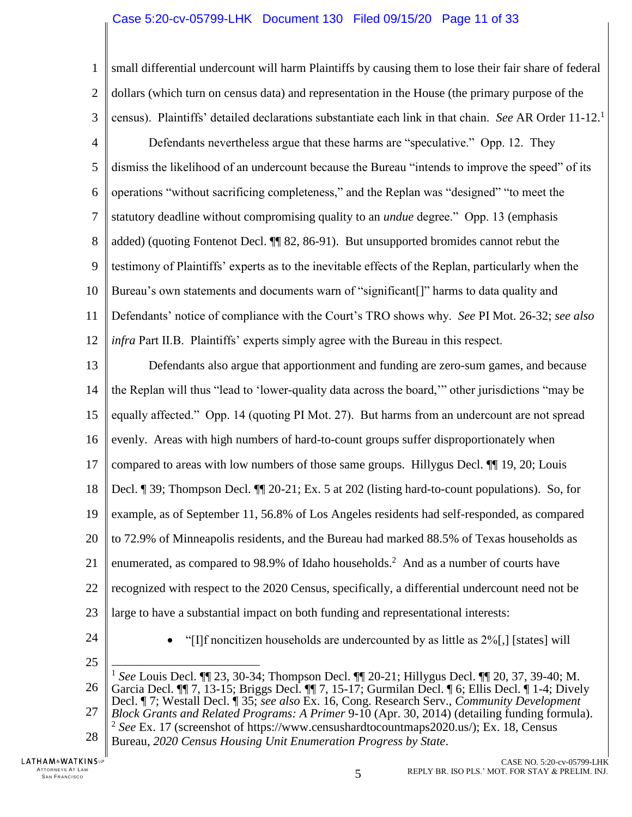#### Case 5:20-cv-05799-LHK Document 130 Filed 09/15/20 Page 11 of 33

1  $\overline{2}$ 3 small differential undercount will harm Plaintiffs by causing them to lose their fair share of federal dollars (which turn on census data) and representation in the House (the primary purpose of the census). Plaintiffs' detailed declarations substantiate each link in that chain. *See* AR Order 11-12.<sup>1</sup>

4 5 6 7 8 9 10 11 12 Defendants nevertheless argue that these harms are "speculative." Opp. 12. They dismiss the likelihood of an undercount because the Bureau "intends to improve the speed" of its operations "without sacrificing completeness," and the Replan was "designed" "to meet the statutory deadline without compromising quality to an *undue* degree." Opp. 13 (emphasis added) (quoting Fontenot Decl. ¶¶ 82, 86-91). But unsupported bromides cannot rebut the testimony of Plaintiffs' experts as to the inevitable effects of the Replan, particularly when the Bureau's own statements and documents warn of "significant[]" harms to data quality and Defendants' notice of compliance with the Court's TRO shows why. *See* PI Mot. 26-32; *see also infra* Part II.B. Plaintiffs' experts simply agree with the Bureau in this respect.

13 14 15 16 17 18 19 20 21 22 23 Defendants also argue that apportionment and funding are zero-sum games, and because the Replan will thus "lead to 'lower-quality data across the board,'" other jurisdictions "may be equally affected." Opp. 14 (quoting PI Mot. 27). But harms from an undercount are not spread evenly. Areas with high numbers of hard-to-count groups suffer disproportionately when compared to areas with low numbers of those same groups. Hillygus Decl. ¶¶ 19, 20; Louis Decl. ¶ 39; Thompson Decl. ¶¶ 20-21; Ex. 5 at 202 (listing hard-to-count populations). So, for example, as of September 11, 56.8% of Los Angeles residents had self-responded, as compared to 72.9% of Minneapolis residents, and the Bureau had marked 88.5% of Texas households as enumerated, as compared to 98.9% of Idaho households.<sup>2</sup> And as a number of courts have recognized with respect to the 2020 Census, specifically, a differential undercount need not be large to have a substantial impact on both funding and representational interests:

24

"[I]f noncitizen households are undercounted by as little as 2%[,] [states] will

25

26 27 28 1 *See* Louis Decl. ¶¶ 23, 30-34; Thompson Decl. ¶¶ 20-21; Hillygus Decl. ¶¶ 20, 37, 39-40; M. Garcia Decl. ¶¶ 7, 13-15; Briggs Decl. ¶¶ 7, 15-17; Gurmilan Decl. ¶ 6; Ellis Decl. ¶ 1-4; Dively Decl. ¶ 7; Westall Decl. ¶ 35; *see also* Ex. 16, Cong. Research Serv., *Community Development Block Grants and Related Programs: A Primer* 9-10 (Apr. 30, 2014) (detailing funding formula). 2 *See* Ex. 17 (screenshot of https://www.censushardtocountmaps2020.us/); Ex. 18, Census Bureau, *2020 Census Housing Unit Enumeration Progress by State*.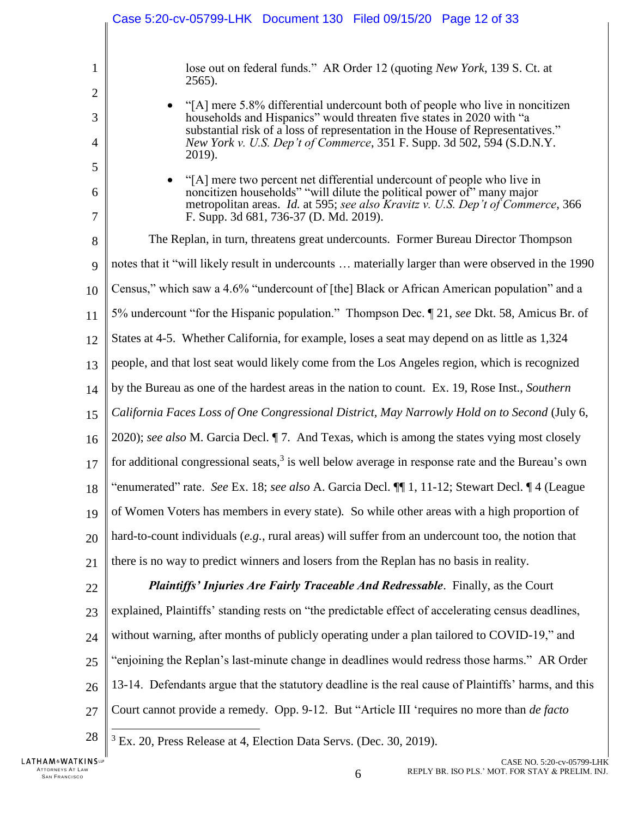<span id="page-11-1"></span><span id="page-11-0"></span>

|             | Case 5:20-cv-05799-LHK Document 130 Filed 09/15/20 Page 12 of 33                                                                                                                                                                                                                                                           |
|-------------|----------------------------------------------------------------------------------------------------------------------------------------------------------------------------------------------------------------------------------------------------------------------------------------------------------------------------|
| 1<br>2      | lose out on federal funds." AR Order 12 (quoting <i>New York</i> , 139 S. Ct. at<br>$2565$ ).                                                                                                                                                                                                                              |
| 3<br>4      | "[A] mere 5.8% differential undercount both of people who live in noncitizen<br>households and Hispanics" would threaten five states in 2020 with "a<br>substantial risk of a loss of representation in the House of Representatives."<br>New York v. U.S. Dep't of Commerce, 351 F. Supp. 3d 502, 594 (S.D.N.Y.<br>2019). |
| 5<br>6<br>7 | "[A] mere two percent net differential undercount of people who live in<br>noncitizen households" "will dilute the political power of" many major<br>metropolitan areas. Id. at 595; see also Kravitz v. U.S. Dep't of Commerce, 366<br>F. Supp. 3d 681, 736-37 (D. Md. 2019).                                             |
| 8           | The Replan, in turn, threatens great undercounts. Former Bureau Director Thompson                                                                                                                                                                                                                                          |
| 9           | notes that it "will likely result in undercounts  materially larger than were observed in the 1990                                                                                                                                                                                                                         |
| 10          | Census," which saw a 4.6% "undercount of [the] Black or African American population" and a                                                                                                                                                                                                                                 |
| 11          | 5% undercount "for the Hispanic population." Thompson Dec. ¶ 21, see Dkt. 58, Amicus Br. of                                                                                                                                                                                                                                |
| 12          | States at 4-5. Whether California, for example, loses a seat may depend on as little as 1,324                                                                                                                                                                                                                              |
| 13          | people, and that lost seat would likely come from the Los Angeles region, which is recognized                                                                                                                                                                                                                              |
| 14          | by the Bureau as one of the hardest areas in the nation to count. Ex. 19, Rose Inst., Southern                                                                                                                                                                                                                             |
| 15          | California Faces Loss of One Congressional District, May Narrowly Hold on to Second (July 6,                                                                                                                                                                                                                               |
| 16          | 2020); see also M. Garcia Decl. ¶ 7. And Texas, which is among the states vying most closely                                                                                                                                                                                                                               |
| 17          | for additional congressional seats, $3$ is well below average in response rate and the Bureau's own                                                                                                                                                                                                                        |
| 18          | "enumerated" rate. See Ex. 18; see also A. Garcia Decl. [1] 1, 11-12; Stewart Decl. 14 (League                                                                                                                                                                                                                             |
| 19          | of Women Voters has members in every state). So while other areas with a high proportion of                                                                                                                                                                                                                                |
| 20          | hard-to-count individuals (e.g., rural areas) will suffer from an undercount too, the notion that                                                                                                                                                                                                                          |
| 21          | there is no way to predict winners and losers from the Replan has no basis in reality.                                                                                                                                                                                                                                     |
| 22          | Plaintiffs' Injuries Are Fairly Traceable And Redressable. Finally, as the Court                                                                                                                                                                                                                                           |
| 23          | explained, Plaintiffs' standing rests on "the predictable effect of accelerating census deadlines,                                                                                                                                                                                                                         |
| 24          | without warning, after months of publicly operating under a plan tailored to COVID-19," and                                                                                                                                                                                                                                |
| 25          | "enjoining the Replan's last-minute change in deadlines would redress those harms." AR Order                                                                                                                                                                                                                               |
| 26          | 13-14. Defendants argue that the statutory deadline is the real cause of Plaintiffs' harms, and this                                                                                                                                                                                                                       |
| 27          | Court cannot provide a remedy. Opp. 9-12. But "Article III 'requires no more than de facto                                                                                                                                                                                                                                 |
| 28          | <sup>3</sup> Ex. 20, Press Release at 4, Election Data Servs. (Dec. 30, 2019).                                                                                                                                                                                                                                             |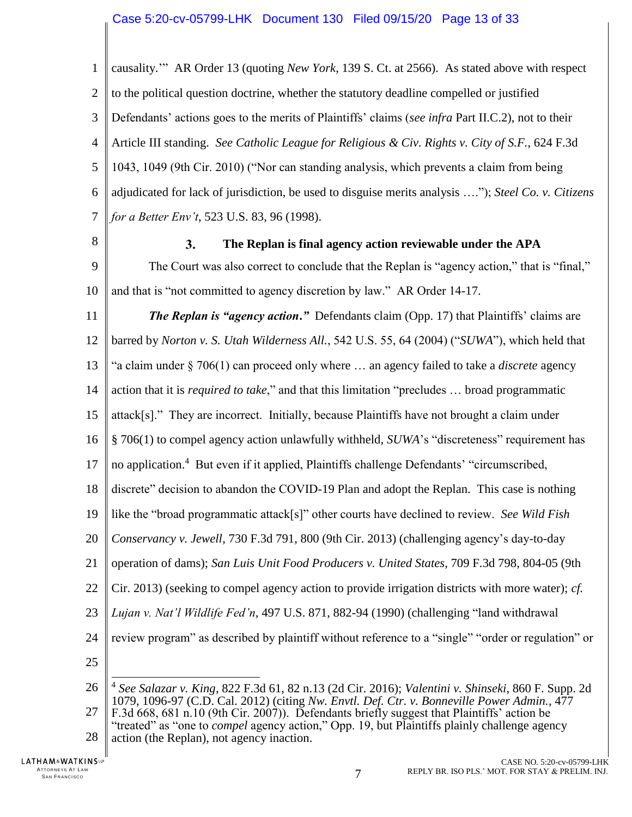1  $\mathfrak{D}$ 3 4 5 6 7 causality.'"AR Order 13 (quoting *New York*, 139 S. Ct. at 2566). As stated above with respect to the political question doctrine, whether the statutory deadline compelled or justified Defendants' actions goes to the merits of Plaintiffs' claims (*see infra* Part II.C.2), not to their Article III standing. *See Catholic League for Religious & Civ. Rights v. City of S.F.*, 624 F.3d 1043, 1049 (9th Cir. 2010) ("Nor can standing analysis, which prevents a claim from being adjudicated for lack of jurisdiction, be used to disguise merits analysis …."); *Steel Co. v. Citizens for a Better Env't*, 523 U.S. 83, 96 (1998).

<span id="page-12-0"></span>8

#### <span id="page-12-9"></span><span id="page-12-7"></span><span id="page-12-1"></span> $3.$ **The Replan is final agency action reviewable under the APA**

9 10 The Court was also correct to conclude that the Replan is "agency action," that is "final," and that is "not committed to agency discretion by law." AR Order 14-17.

<span id="page-12-3"></span>11 12 13 14 15 16 17 18 19 20 21 22 23 24 *The Replan is "agency action***.***"* Defendants claim (Opp. 17) that Plaintiffs' claims are barred by *Norton v. S. Utah Wilderness All.*, 542 U.S. 55, 64 (2004) ("*SUWA*"), which held that "a claim under § 706(1) can proceed only where … an agency failed to take a *discrete* agency action that it is *required to take*," and that this limitation "precludes … broad programmatic attack[s]." They are incorrect. Initially, because Plaintiffs have not brought a claim under § 706(1) to compel agency action unlawfully withheld, *SUWA*'s "discreteness" requirement has no application.<sup>4</sup> But even if it applied, Plaintiffs challenge Defendants' "circumscribed, discrete" decision to abandon the COVID-19 Plan and adopt the Replan. This case is nothing like the "broad programmatic attack[s]" other courts have declined to review. *See Wild Fish Conservancy v. Jewell*, 730 F.3d 791, 800 (9th Cir. 2013) (challenging agency's day-to-day operation of dams); *San Luis Unit Food Producers v. United States*, 709 F.3d 798, 804-05 (9th Cir. 2013) (seeking to compel agency action to provide irrigation districts with more water); *cf. Lujan v. Nat'l Wildlife Fed'n*, 497 U.S. 871, 882-94 (1990) (challenging "land withdrawal review program" as described by plaintiff without reference to a "single" "order or regulation" or

<span id="page-12-6"></span><span id="page-12-2"></span>25

<span id="page-12-8"></span><span id="page-12-5"></span><span id="page-12-4"></span>26 27 28  $\overline{\phantom{a}}$ 4 *See Salazar v. King*, 822 F.3d 61, 82 n.13 (2d Cir. 2016); *Valentini v. Shinseki*, 860 F. Supp. 2d 1079, 1096-97 (C.D. Cal. 2012) (citing *Nw. Envtl. Def. Ctr. v. Bonneville Power Admin.*, 477 F.3d 668, 681 n.10 (9th Cir. 2007)). Defendants briefly suggest that Plaintiffs' action be "treated" as "one to *compel* agency action," Opp. 19, but Plaintiffs plainly challenge agency action (the Replan), not agency inaction.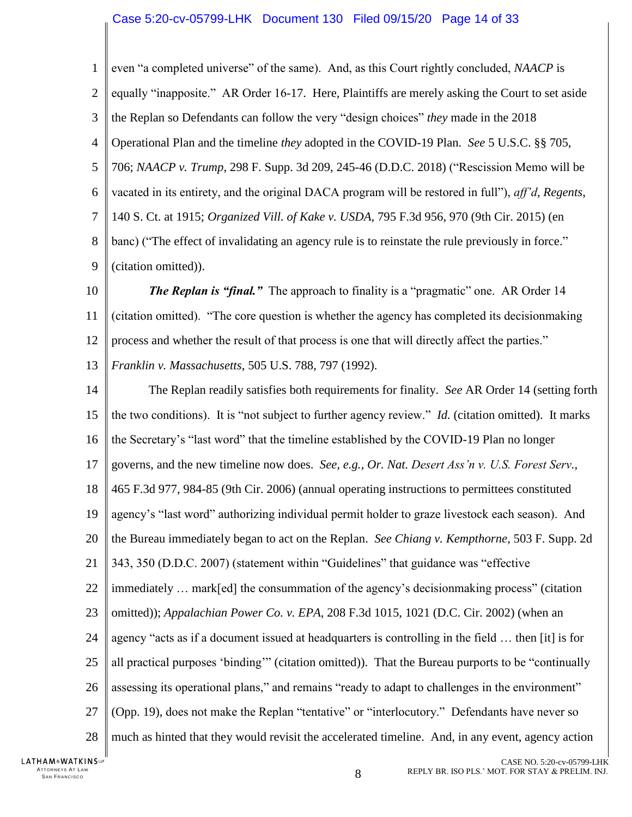<span id="page-13-7"></span><span id="page-13-6"></span><span id="page-13-3"></span>1  $\overline{2}$ 3 4 5 6 7 8 9 even "a completed universe" of the same). And, as this Court rightly concluded, *NAACP* is equally "inapposite." AR Order 16-17. Here, Plaintiffs are merely asking the Court to set aside the Replan so Defendants can follow the very "design choices" *they* made in the 2018 Operational Plan and the timeline *they* adopted in the COVID-19 Plan. *See* 5 U.S.C. §§ 705, 706; *NAACP v. Trump*, 298 F. Supp. 3d 209, 245-46 (D.D.C. 2018) ("Rescission Memo will be vacated in its entirety, and the original DACA program will be restored in full"), *aff'd*, *Regents*, 140 S. Ct. at 1915; *Organized Vill. of Kake v. USDA*, 795 F.3d 956, 970 (9th Cir. 2015) (en banc) ("The effect of invalidating an agency rule is to reinstate the rule previously in force." (citation omitted)).

- <span id="page-13-5"></span>10 11 12 *The Replan is "final."* The approach to finality is a "pragmatic" one. AR Order 14 (citation omitted). "The core question is whether the agency has completed its decisionmaking process and whether the result of that process is one that will directly affect the parties."
- <span id="page-13-2"></span>13 *Franklin v. Massachusetts*, 505 U.S. 788, 797 (1992).
- <span id="page-13-4"></span><span id="page-13-1"></span><span id="page-13-0"></span>14 15 16 17 18 19 20 21 22 23 24 25 26 27 28 The Replan readily satisfies both requirements for finality. *See* AR Order 14 (setting forth the two conditions). It is "not subject to further agency review." *Id.* (citation omitted). It marks the Secretary's "last word" that the timeline established by the COVID-19 Plan no longer governs, and the new timeline now does. *See, e.g.*, *Or. Nat. Desert Ass'n v. U.S. Forest Serv.*, 465 F.3d 977, 984-85 (9th Cir. 2006) (annual operating instructions to permittees constituted agency's "last word" authorizing individual permit holder to graze livestock each season). And the Bureau immediately began to act on the Replan. *See Chiang v. Kempthorne*, 503 F. Supp. 2d 343, 350 (D.D.C. 2007) (statement within "Guidelines" that guidance was "effective immediately … mark[ed] the consummation of the agency's decisionmaking process" (citation omitted)); *Appalachian Power Co. v. EPA*, 208 F.3d 1015, 1021 (D.C. Cir. 2002) (when an agency "acts as if a document issued at headquarters is controlling in the field … then [it] is for all practical purposes 'binding'" (citation omitted)). That the Bureau purports to be "continually assessing its operational plans," and remains "ready to adapt to challenges in the environment" (Opp. 19), does not make the Replan "tentative" or "interlocutory." Defendants have never so much as hinted that they would revisit the accelerated timeline. And, in any event, agency action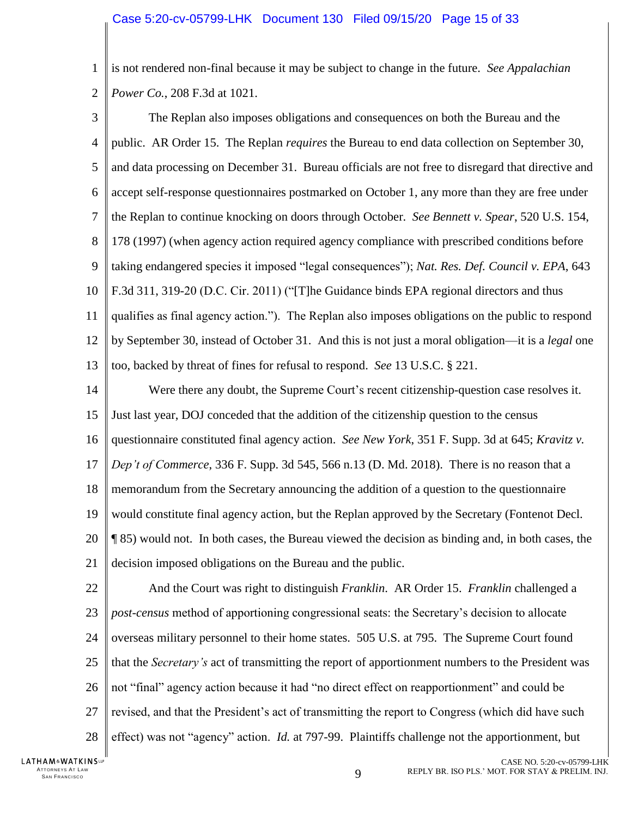<span id="page-14-0"></span>1  $\overline{2}$ is not rendered non-final because it may be subject to change in the future. *See Appalachian Power Co.*, 208 F.3d at 1021.

- <span id="page-14-5"></span><span id="page-14-1"></span>3 4 5 6 7 8 9 10 11 12 13 The Replan also imposes obligations and consequences on both the Bureau and the public. AR Order 15. The Replan *requires* the Bureau to end data collection on September 30, and data processing on December 31. Bureau officials are not free to disregard that directive and accept self-response questionnaires postmarked on October 1, any more than they are free under the Replan to continue knocking on doors through October. *See Bennett v. Spear*, 520 U.S. 154, 178 (1997) (when agency action required agency compliance with prescribed conditions before taking endangered species it imposed "legal consequences"); *Nat. Res. Def. Council v. EPA*, 643 F.3d 311, 319-20 (D.C. Cir. 2011) ("[T]he Guidance binds EPA regional directors and thus qualifies as final agency action."). The Replan also imposes obligations on the public to respond by September 30, instead of October 31. And this is not just a moral obligation—it is a *legal* one too, backed by threat of fines for refusal to respond. *See* 13 U.S.C. § 221.
- <span id="page-14-7"></span><span id="page-14-6"></span><span id="page-14-4"></span><span id="page-14-2"></span>14 15 16 17 18 19 20 21 Were there any doubt, the Supreme Court's recent citizenship-question case resolves it. Just last year, DOJ conceded that the addition of the citizenship question to the census questionnaire constituted final agency action. *See New York*, 351 F. Supp. 3d at 645; *Kravitz v. Dep't of Commerce*, 336 F. Supp. 3d 545, 566 n.13 (D. Md. 2018). There is no reason that a memorandum from the Secretary announcing the addition of a question to the questionnaire would constitute final agency action, but the Replan approved by the Secretary (Fontenot Decl. ¶ 85) would not. In both cases, the Bureau viewed the decision as binding and, in both cases, the decision imposed obligations on the Bureau and the public.
- <span id="page-14-3"></span>22 23 24 25 26 27 28 And the Court was right to distinguish *Franklin*.AR Order 15. *Franklin* challenged a *post-census* method of apportioning congressional seats: the Secretary's decision to allocate overseas military personnel to their home states. 505 U.S. at 795. The Supreme Court found that the *Secretary's* act of transmitting the report of apportionment numbers to the President was not "final" agency action because it had "no direct effect on reapportionment" and could be revised, and that the President's act of transmitting the report to Congress (which did have such effect) was not "agency" action. *Id.* at 797-99. Plaintiffs challenge not the apportionment, but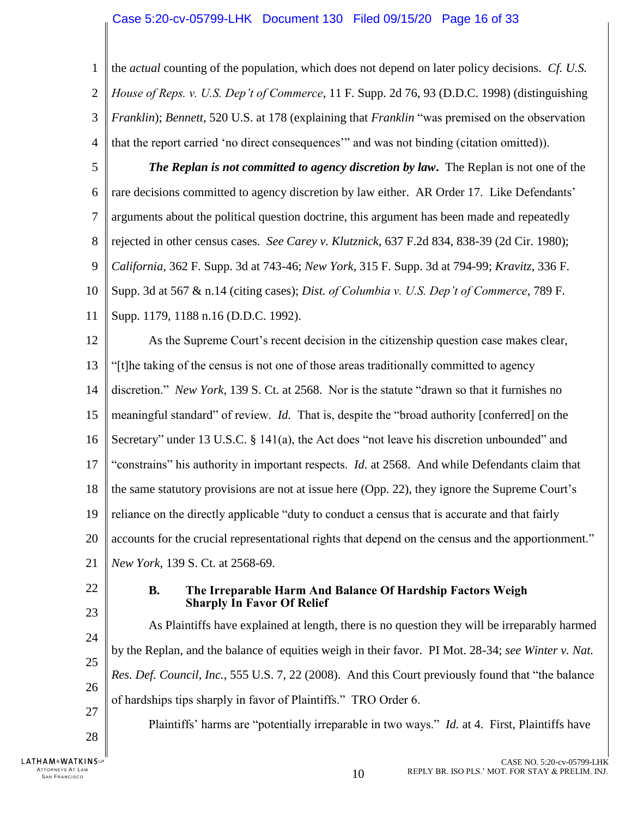<span id="page-15-8"></span><span id="page-15-5"></span><span id="page-15-1"></span>1  $\overline{2}$ 3 4 the *actual* counting of the population, which does not depend on later policy decisions. *Cf. U.S. House of Reps. v. U.S. Dep't of Commerce*, 11 F. Supp. 2d 76, 93 (D.D.C. 1998) (distinguishing *Franklin*); *Bennett*, 520 U.S. at 178 (explaining that *Franklin* "was premised on the observation that the report carried 'no direct consequences'" and was not binding (citation omitted)).

<span id="page-15-6"></span><span id="page-15-3"></span>5 6 7 8 9 10 11 *The Replan is not committed to agency discretion by law***.** The Replan is not one of the rare decisions committed to agency discretion by law either. AR Order 17. Like Defendants' arguments about the political question doctrine, this argument has been made and repeatedly rejected in other census cases. *See Carey v. Klutznick*, 637 F.2d 834, 838-39 (2d Cir. 1980); *California*, 362 F. Supp. 3d at 743-46; *New York*, 315 F. Supp. 3d at 794-99; *Kravitz*, 336 F. Supp. 3d at 567 & n.14 (citing cases); *Dist. of Columbia v. U.S. Dep't of Commerce*, 789 F. Supp. 1179, 1188 n.16 (D.D.C. 1992).

<span id="page-15-10"></span><span id="page-15-7"></span><span id="page-15-4"></span><span id="page-15-2"></span>12 13 14 15 16 17 18 19 20 21 As the Supreme Court's recent decision in the citizenship question case makes clear, "[t]he taking of the census is not one of those areas traditionally committed to agency discretion." *New York*, 139 S. Ct. at 2568.Nor is the statute "drawn so that it furnishes no meaningful standard" of review. *Id.* That is, despite the "broad authority [conferred] on the Secretary" under 13 U.S.C. § 141(a), the Act does "not leave his discretion unbounded" and "constrains" his authority in important respects. *Id.* at 2568. And while Defendants claim that the same statutory provisions are not at issue here (Opp. 22), they ignore the Supreme Court's reliance on the directly applicable "duty to conduct a census that is accurate and that fairly accounts for the crucial representational rights that depend on the census and the apportionment." *New York*, 139 S. Ct. at 2568-69.

<span id="page-15-0"></span>22

23

24

25

26

27

28

ATTORNEYS AT LAW<br>SAN FRANCISCO

**LATHAM&WATKINSLP** 

#### <span id="page-15-9"></span>**B. The Irreparable Harm And Balance Of Hardship Factors Weigh Sharply In Favor Of Relief**

As Plaintiffs have explained at length, there is no question they will be irreparably harmed by the Replan, and the balance of equities weigh in their favor. PI Mot. 28-34; *see Winter v. Nat. Res. Def. Council, Inc.*, 555 U.S. 7, 22 (2008). And this Court previously found that "the balance of hardships tips sharply in favor of Plaintiffs." TRO Order 6.

Plaintiffs' harms are "potentially irreparable in two ways." *Id.* at 4. First, Plaintiffs have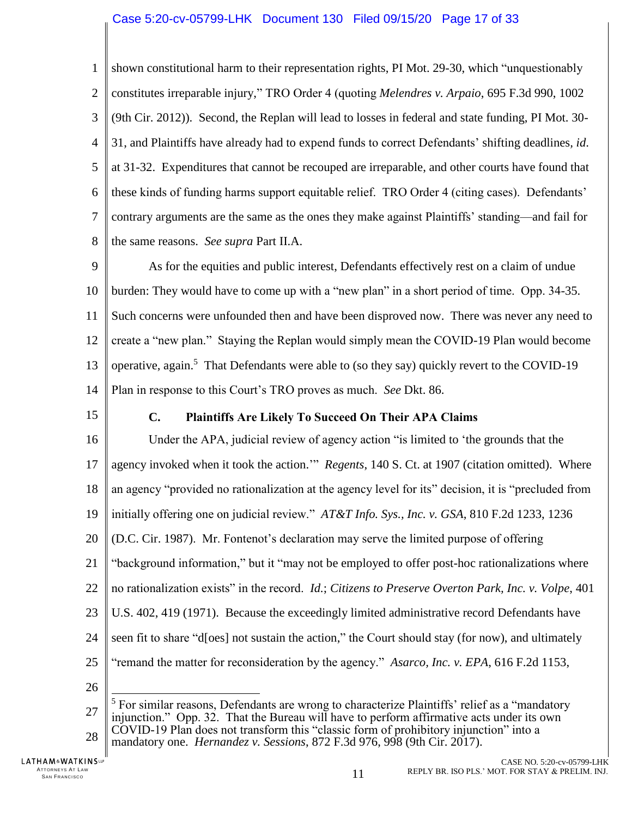<span id="page-16-6"></span>1  $\overline{2}$ 3 4 5 6 7 8 shown constitutional harm to their representation rights, PI Mot. 29-30, which "unquestionably constitutes irreparable injury," TRO Order 4 (quoting *Melendres v. Arpaio*, 695 F.3d 990, 1002 (9th Cir. 2012)). Second, the Replan will lead to losses in federal and state funding, PI Mot. 30- 31, and Plaintiffs have already had to expend funds to correct Defendants' shifting deadlines*, id*. at 31-32. Expenditures that cannot be recouped are irreparable, and other courts have found that these kinds of funding harms support equitable relief. TRO Order 4 (citing cases). Defendants' contrary arguments are the same as the ones they make against Plaintiffs' standing—and fail for the same reasons. *See supra* Part II.A.

9 10 11 12 13 14 As for the equities and public interest, Defendants effectively rest on a claim of undue burden: They would have to come up with a "new plan" in a short period of time. Opp. 34-35. Such concerns were unfounded then and have been disproved now. There was never any need to create a "new plan." Staying the Replan would simply mean the COVID-19 Plan would become operative, again.<sup>5</sup> That Defendants were able to (so they say) quickly revert to the COVID-19 Plan in response to this Court's TRO proves as much. *See* Dkt. 86.

<span id="page-16-0"></span>15

### <span id="page-16-4"></span><span id="page-16-3"></span><span id="page-16-2"></span>**C. Plaintiffs Are Likely To Succeed On Their APA Claims**

16 17 18 19 20 21 22 23 24 25 Under the APA, judicial review of agency action "is limited to 'the grounds that the agency invoked when it took the action.'" *Regents*, 140 S. Ct. at 1907 (citation omitted). Where an agency "provided no rationalization at the agency level for its" decision, it is "precluded from initially offering one on judicial review." *AT&T Info. Sys., Inc. v. GSA*, 810 F.2d 1233, 1236 (D.C. Cir. 1987). Mr. Fontenot's declaration may serve the limited purpose of offering "background information," but it "may not be employed to offer post-hoc rationalizations where no rationalization exists" in the record. *Id.*; *Citizens to Preserve Overton Park, Inc. v. Volpe*, 401 U.S. 402, 419 (1971). Because the exceedingly limited administrative record Defendants have seen fit to share "d[oes] not sustain the action," the Court should stay (for now), and ultimately "remand the matter for reconsideration by the agency." *Asarco, Inc. v. EPA*, 616 F.2d 1153,  $\overline{a}$ 

<span id="page-16-1"></span>26

<span id="page-16-5"></span><sup>27</sup> 28  $<sup>5</sup>$  For similar reasons, Defendants are wrong to characterize Plaintiffs' relief as a "mandatory"</sup> injunction." Opp. 32. That the Bureau will have to perform affirmative acts under its own COVID-19 Plan does not transform this "classic form of prohibitory injunction" into a mandatory one. *Hernandez v. Sessions*, 872 F.3d 976, 998 (9th Cir. 2017).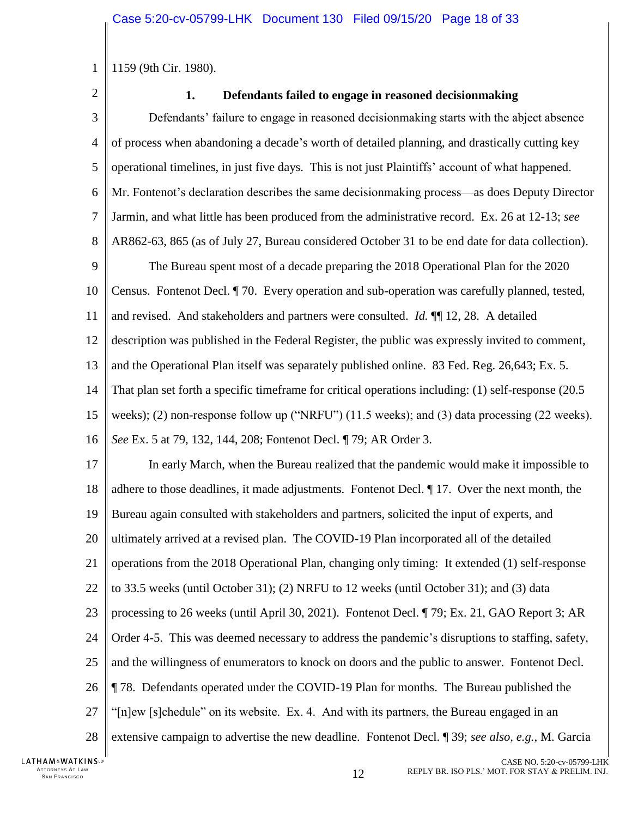<span id="page-17-0"></span>1159 (9th Cir. 1980).

2

1

## <span id="page-17-1"></span>**1. Defendants failed to engage in reasoned decisionmaking**

3 4 5 6 7 8 9 10 11 12 13 14 15 16 17 18 19 20 21 22 23 24 25 26 27 28 Defendants' failure to engage in reasoned decisionmaking starts with the abject absence of process when abandoning a decade's worth of detailed planning, and drastically cutting key operational timelines, in just five days. This is not just Plaintiffs' account of what happened. Mr. Fontenot's declaration describes the same decisionmaking process—as does Deputy Director Jarmin, and what little has been produced from the administrative record. Ex. 26 at 12-13; *see* AR862-63, 865 (as of July 27, Bureau considered October 31 to be end date for data collection). The Bureau spent most of a decade preparing the 2018 Operational Plan for the 2020 Census. Fontenot Decl. ¶ 70. Every operation and sub-operation was carefully planned, tested, and revised. And stakeholders and partners were consulted. *Id.* ¶¶ 12, 28. A detailed description was published in the Federal Register, the public was expressly invited to comment, and the Operational Plan itself was separately published online. 83 Fed. Reg. 26,643; Ex. 5. That plan set forth a specific timeframe for critical operations including: (1) self-response (20.5 weeks); (2) non-response follow up ("NRFU") (11.5 weeks); and (3) data processing (22 weeks). *See* Ex. 5 at 79, 132, 144, 208; Fontenot Decl. ¶ 79; AR Order 3. In early March, when the Bureau realized that the pandemic would make it impossible to adhere to those deadlines, it made adjustments. Fontenot Decl. ¶ 17. Over the next month, the Bureau again consulted with stakeholders and partners, solicited the input of experts, and ultimately arrived at a revised plan. The COVID-19 Plan incorporated all of the detailed operations from the 2018 Operational Plan, changing only timing: It extended (1) self-response to 33.5 weeks (until October 31); (2) NRFU to 12 weeks (until October 31); and (3) data processing to 26 weeks (until April 30, 2021). Fontenot Decl. ¶ 79; Ex. 21, GAO Report 3; AR Order 4-5. This was deemed necessary to address the pandemic's disruptions to staffing, safety, and the willingness of enumerators to knock on doors and the public to answer. Fontenot Decl. ¶ 78. Defendants operated under the COVID-19 Plan for months. The Bureau published the "[n]ew [s]chedule" on its website. Ex. 4. And with its partners, the Bureau engaged in an extensive campaign to advertise the new deadline. Fontenot Decl. ¶ 39; *see also, e.g.*, M. Garcia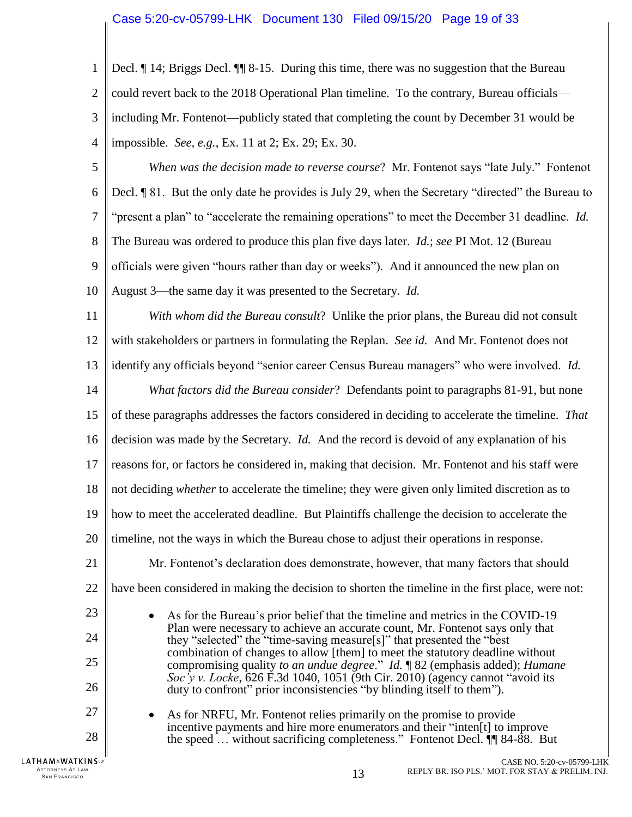1  $\overline{2}$ 3 4 5 6 7 8 9 10 11 12 13 14 15 Decl. ¶ 14; Briggs Decl. ¶¶ 8-15. During this time, there was no suggestion that the Bureau could revert back to the 2018 Operational Plan timeline. To the contrary, Bureau officials including Mr. Fontenot—publicly stated that completing the count by December 31 would be impossible. *See, e.g.*, Ex. 11 at 2; Ex. 29; Ex. 30. *When was the decision made to reverse course*? Mr. Fontenot says "late July." Fontenot Decl. ¶ 81. But the only date he provides is July 29, when the Secretary "directed" the Bureau to "present a plan" to "accelerate the remaining operations" to meet the December 31 deadline. *Id.* The Bureau was ordered to produce this plan five days later. *Id.*; *see* PI Mot. 12 (Bureau officials were given "hours rather than day or weeks"). And it announced the new plan on August 3—the same day it was presented to the Secretary. *Id. With whom did the Bureau consult*? Unlike the prior plans, the Bureau did not consult with stakeholders or partners in formulating the Replan. *See id.* And Mr. Fontenot does not identify any officials beyond "senior career Census Bureau managers" who were involved. *Id. What factors did the Bureau consider*? Defendants point to paragraphs 81-91, but none of these paragraphs addresses the factors considered in deciding to accelerate the timeline. *That* 

16 17 decision was made by the Secretary. *Id.* And the record is devoid of any explanation of his reasons for, or factors he considered in, making that decision. Mr. Fontenot and his staff were

18 not deciding *whether* to accelerate the timeline; they were given only limited discretion as to

19 how to meet the accelerated deadline. But Plaintiffs challenge the decision to accelerate the

20 timeline, not the ways in which the Bureau chose to adjust their operations in response.

21 22 Mr. Fontenot's declaration does demonstrate, however, that many factors that should have been considered in making the decision to shorten the timeline in the first place, were not:

> <span id="page-18-0"></span> As for the Bureau's prior belief that the timeline and metrics in the COVID-19 Plan were necessary to achieve an accurate count, Mr. Fontenot says only that they "selected" the "time-saving measure[s]" that presented the "best combination of changes to allow [them] to meet the statutory deadline without compromising quality *to an undue degree*." *Id.* ¶ 82 (emphasis added); *Humane Soc'y v. Locke*, 626 F.3d 1040, 1051 (9th Cir. 2010) (agency cannot "avoid its duty to confront" prior inconsistencies "by blinding itself to them").

 As for NRFU, Mr. Fontenot relies primarily on the promise to provide incentive payments and hire more enumerators and their "inten[t] to improve the speed … without sacrificing completeness." Fontenot Decl. ¶¶ 84-88. But

23

24

25

26

27

28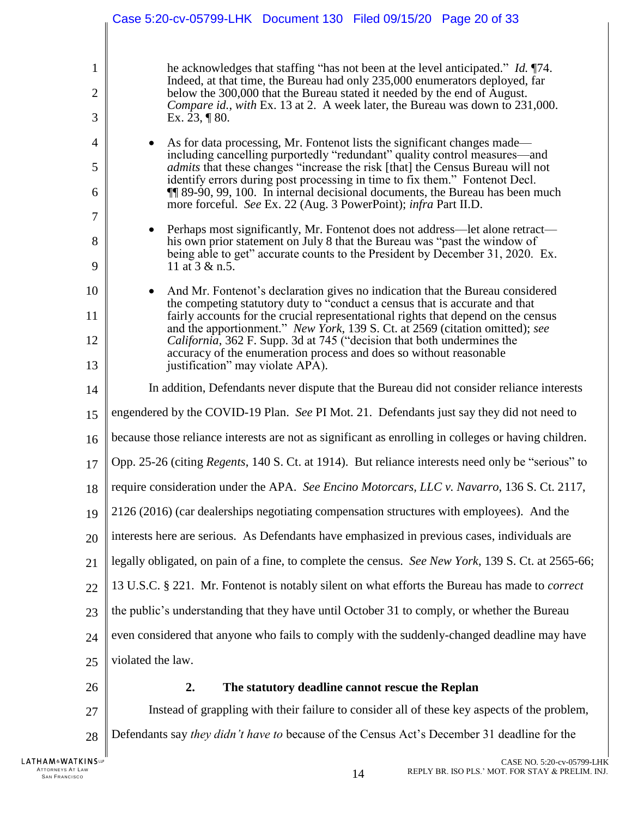<span id="page-19-4"></span><span id="page-19-3"></span><span id="page-19-2"></span><span id="page-19-1"></span><span id="page-19-0"></span>

|                                | Case 5:20-cv-05799-LHK Document 130 Filed 09/15/20 Page 20 of 33                                                                                                                                                                                                                                                                                                                                                                                                                          |
|--------------------------------|-------------------------------------------------------------------------------------------------------------------------------------------------------------------------------------------------------------------------------------------------------------------------------------------------------------------------------------------------------------------------------------------------------------------------------------------------------------------------------------------|
| $\mathbf{1}$<br>$\overline{2}$ | he acknowledges that staffing "has not been at the level anticipated." Id. 174.<br>Indeed, at that time, the Bureau had only 235,000 enumerators deployed, far<br>below the 300,000 that the Bureau stated it needed by the end of August.<br>Compare id., with Ex. 13 at 2. A week later, the Bureau was down to 231,000.                                                                                                                                                                |
| 3<br>$\overline{4}$            | Ex. 23, $\P$ 80.<br>As for data processing, Mr. Fontenot lists the significant changes made—<br>including cancelling purportedly "redundant" quality control measures—and                                                                                                                                                                                                                                                                                                                 |
| 5<br>6                         | <i>admits</i> that these changes "increase the risk [that] the Census Bureau will not<br>identify errors during post processing in time to fix them." Fontenot Decl.<br><b>II</b> 89-90, 99, 100. In internal decisional documents, the Bureau has been much<br>more forceful. See Ex. 22 (Aug. 3 PowerPoint); infra Part II.D.                                                                                                                                                           |
| $\overline{7}$<br>8<br>9       | Perhaps most significantly, Mr. Fontenot does not address—let alone retract—<br>his own prior statement on July 8 that the Bureau was "past the window of<br>being able to get" accurate counts to the President by December 31, 2020. Ex.<br>11 at 3 & n.5.                                                                                                                                                                                                                              |
| 10<br>11<br>12                 | And Mr. Fontenot's declaration gives no indication that the Bureau considered<br>the competing statutory duty to "conduct a census that is accurate and that<br>fairly accounts for the crucial representational rights that depend on the census<br>and the apportionment." New York, 139 S. Ct. at 2569 (citation omitted); see<br><i>California</i> , 362 F. Supp. 3d at 745 ("decision that both undermines the<br>accuracy of the enumeration process and does so without reasonable |
| 13<br>14                       | justification" may violate APA).<br>In addition, Defendants never dispute that the Bureau did not consider reliance interests                                                                                                                                                                                                                                                                                                                                                             |
| 15                             | engendered by the COVID-19 Plan. See PI Mot. 21. Defendants just say they did not need to                                                                                                                                                                                                                                                                                                                                                                                                 |
| 16                             | because those reliance interests are not as significant as enrolling in colleges or having children.                                                                                                                                                                                                                                                                                                                                                                                      |
| 17                             | Opp. 25-26 (citing Regents, 140 S. Ct. at 1914). But reliance interests need only be "serious" to                                                                                                                                                                                                                                                                                                                                                                                         |
| 18                             | require consideration under the APA. See Encino Motorcars, LLC v. Navarro, 136 S. Ct. 2117,                                                                                                                                                                                                                                                                                                                                                                                               |
| 19                             | 2126 (2016) (car dealerships negotiating compensation structures with employees). And the                                                                                                                                                                                                                                                                                                                                                                                                 |
| 20                             | interests here are serious. As Defendants have emphasized in previous cases, individuals are                                                                                                                                                                                                                                                                                                                                                                                              |
| 21                             | legally obligated, on pain of a fine, to complete the census. See New York, 139 S. Ct. at 2565-66;                                                                                                                                                                                                                                                                                                                                                                                        |
| 22                             | 13 U.S.C. § 221. Mr. Fontenot is notably silent on what efforts the Bureau has made to <i>correct</i>                                                                                                                                                                                                                                                                                                                                                                                     |
| 23                             | the public's understanding that they have until October 31 to comply, or whether the Bureau                                                                                                                                                                                                                                                                                                                                                                                               |
| 24                             | even considered that anyone who fails to comply with the suddenly-changed deadline may have                                                                                                                                                                                                                                                                                                                                                                                               |
| 25                             | violated the law.                                                                                                                                                                                                                                                                                                                                                                                                                                                                         |
| 26                             | The statutory deadline cannot rescue the Replan<br>2.                                                                                                                                                                                                                                                                                                                                                                                                                                     |
| 27                             | Instead of grappling with their failure to consider all of these key aspects of the problem,                                                                                                                                                                                                                                                                                                                                                                                              |
| 28                             | Defendants say they didn't have to because of the Census Act's December 31 deadline for the                                                                                                                                                                                                                                                                                                                                                                                               |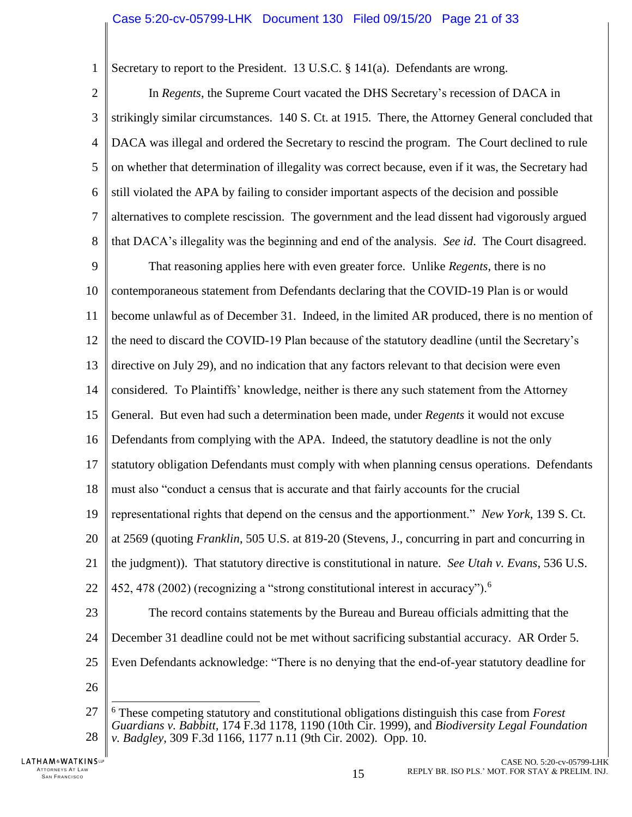<span id="page-20-5"></span><span id="page-20-1"></span>Secretary to report to the President. 13 U.S.C. § 141(a). Defendants are wrong.

 $\overline{2}$ 3 4 5 6 7 8 In *Regents*, the Supreme Court vacated the DHS Secretary's recession of DACA in strikingly similar circumstances. 140 S. Ct. at 1915. There, the Attorney General concluded that DACA was illegal and ordered the Secretary to rescind the program. The Court declined to rule on whether that determination of illegality was correct because, even if it was, the Secretary had still violated the APA by failing to consider important aspects of the decision and possible alternatives to complete rescission. The government and the lead dissent had vigorously argued that DACA's illegality was the beginning and end of the analysis. *See id*. The Court disagreed.

9 10 11 12 13 14 15 16 That reasoning applies here with even greater force. Unlike *Regents*, there is no contemporaneous statement from Defendants declaring that the COVID-19 Plan is or would become unlawful as of December 31. Indeed, in the limited AR produced, there is no mention of the need to discard the COVID-19 Plan because of the statutory deadline (until the Secretary's directive on July 29), and no indication that any factors relevant to that decision were even considered. To Plaintiffs' knowledge, neither is there any such statement from the Attorney General. But even had such a determination been made, under *Regents* it would not excuse Defendants from complying with the APA. Indeed, the statutory deadline is not the only

17 statutory obligation Defendants must comply with when planning census operations. Defendants

18 must also "conduct a census that is accurate and that fairly accounts for the crucial

19 representational rights that depend on the census and the apportionment." *New York*, 139 S. Ct.

<span id="page-20-4"></span><span id="page-20-3"></span>20 at 2569 (quoting *Franklin*, 505 U.S. at 819-20 (Stevens, J., concurring in part and concurring in

21 the judgment)). That statutory directive is constitutional in nature. *See Utah v. Evans*, 536 U.S.

22 452, 478 (2002) (recognizing a "strong constitutional interest in accuracy").<sup>6</sup>

23 The record contains statements by the Bureau and Bureau officials admitting that the

- 24 December 31 deadline could not be met without sacrificing substantial accuracy. AR Order 5.
- 25 Even Defendants acknowledge: "There is no denying that the end-of-year statutory deadline for
- 26

<span id="page-20-2"></span><span id="page-20-0"></span> $\overline{a}$ 

1

27 28 <sup>6</sup> These competing statutory and constitutional obligations distinguish this case from *Forest Guardians v. Babbitt,* 174 F.3d 1178, 1190 (10th Cir. 1999), and *Biodiversity Legal Foundation v. Badgley*, 309 F.3d 1166, 1177 n.11 (9th Cir. 2002). Opp. 10.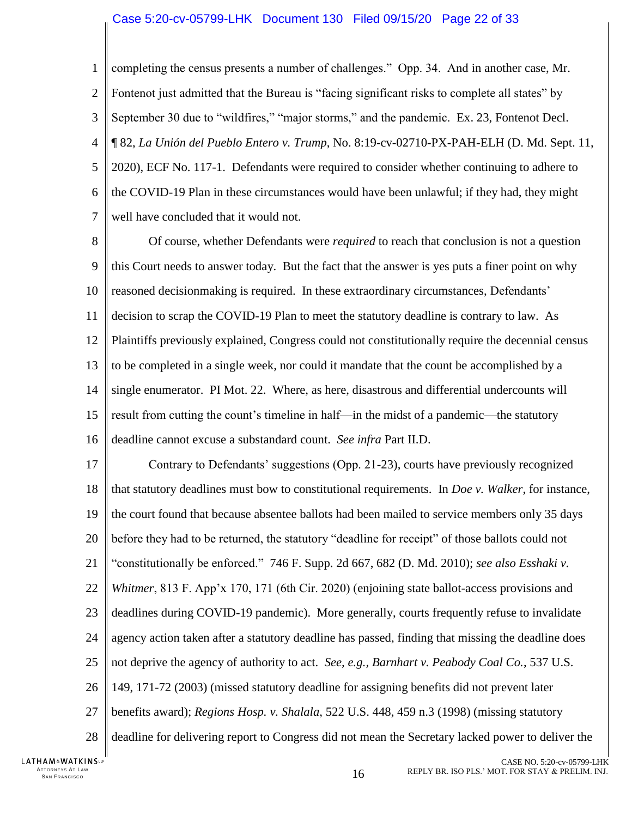#### Case 5:20-cv-05799-LHK Document 130 Filed 09/15/20 Page 22 of 33

1  $\mathfrak{D}$ 3 4 5 6 7 completing the census presents a number of challenges." Opp. 34. And in another case, Mr. Fontenot just admitted that the Bureau is "facing significant risks to complete all states" by September 30 due to "wildfires," "major storms," and the pandemic. Ex. 23, Fontenot Decl. ¶ 82, *La Unión del Pueblo Entero v. Trump*, No. 8:19-cv-02710-PX-PAH-ELH (D. Md. Sept. 11, 2020), ECF No. 117-1. Defendants were required to consider whether continuing to adhere to the COVID-19 Plan in these circumstances would have been unlawful; if they had, they might well have concluded that it would not.

8 9 10 11 12 13 14 15 16 Of course, whether Defendants were *required* to reach that conclusion is not a question this Court needs to answer today. But the fact that the answer is yes puts a finer point on why reasoned decisionmaking is required. In these extraordinary circumstances, Defendants' decision to scrap the COVID-19 Plan to meet the statutory deadline is contrary to law. As Plaintiffs previously explained, Congress could not constitutionally require the decennial census to be completed in a single week, nor could it mandate that the count be accomplished by a single enumerator. PI Mot. 22. Where, as here, disastrous and differential undercounts will result from cutting the count's timeline in half—in the midst of a pandemic—the statutory deadline cannot excuse a substandard count. *See infra* Part II.D.

<span id="page-21-2"></span><span id="page-21-1"></span><span id="page-21-0"></span>17 18 19 20 21 22 23 24 25 26 27 28 Contrary to Defendants' suggestions (Opp. 21-23), courts have previously recognized that statutory deadlines must bow to constitutional requirements. In *Doe v. Walker*, for instance, the court found that because absentee ballots had been mailed to service members only 35 days before they had to be returned, the statutory "deadline for receipt" of those ballots could not "constitutionally be enforced." 746 F. Supp. 2d 667, 682 (D. Md. 2010); *see also Esshaki v. Whitmer*, 813 F. App'x 170, 171 (6th Cir. 2020) (enjoining state ballot-access provisions and deadlines during COVID-19 pandemic). More generally, courts frequently refuse to invalidate agency action taken after a statutory deadline has passed, finding that missing the deadline does not deprive the agency of authority to act. *See, e.g., Barnhart v. Peabody Coal Co.*, 537 U.S. 149, 171-72 (2003) (missed statutory deadline for assigning benefits did not prevent later benefits award); *Regions Hosp. v. Shalala*, 522 U.S. 448, 459 n.3 (1998) (missing statutory deadline for delivering report to Congress did not mean the Secretary lacked power to deliver the

<span id="page-21-3"></span>LATHAM&WATKINSLP ATTORNEYS AT LAW<br>SAN FRANCISCO TTORNEYS AT LAW  $16$ <br>San Francisco  $16$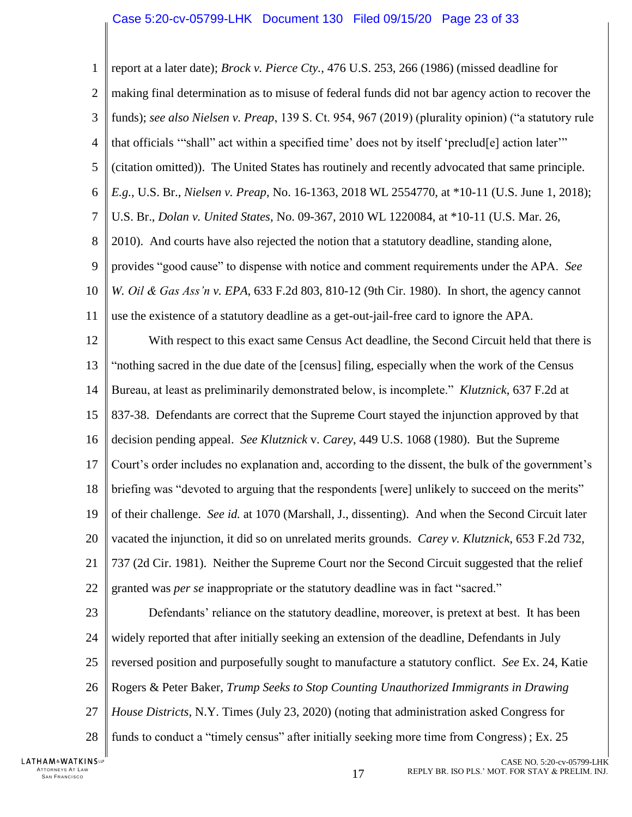<span id="page-22-5"></span><span id="page-22-4"></span><span id="page-22-3"></span><span id="page-22-2"></span><span id="page-22-1"></span><span id="page-22-0"></span>

| $\mathbf{1}$   | report at a later date); Brock v. Pierce Cty., 476 U.S. 253, 266 (1986) (missed deadline for                 |
|----------------|--------------------------------------------------------------------------------------------------------------|
| $\overline{2}$ | making final determination as to misuse of federal funds did not bar agency action to recover the            |
| 3              | funds); see also Nielsen v. Preap, 139 S. Ct. 954, 967 (2019) (plurality opinion) ("a statutory rule         |
| $\overline{4}$ | that officials "shall" act within a specified time' does not by itself 'preclud <sup>[e]</sup> action later" |
| 5              | (citation omitted)). The United States has routinely and recently advocated that same principle.             |
| 6              | E.g., U.S. Br., Nielsen v. Preap, No. 16-1363, 2018 WL 2554770, at *10-11 (U.S. June 1, 2018);               |
| $\overline{7}$ | U.S. Br., Dolan v. United States, No. 09-367, 2010 WL 1220084, at *10-11 (U.S. Mar. 26,                      |
| 8              | 2010). And courts have also rejected the notion that a statutory deadline, standing alone,                   |
| 9              | provides "good cause" to dispense with notice and comment requirements under the APA. See                    |
| 10             | W. Oil & Gas Ass'n v. EPA, 633 F.2d 803, 810-12 (9th Cir. 1980). In short, the agency cannot                 |
| 11             | use the existence of a statutory deadline as a get-out-jail-free card to ignore the APA.                     |
| 12             | With respect to this exact same Census Act deadline, the Second Circuit held that there is                   |
| 13             | "nothing sacred in the due date of the [census] filing, especially when the work of the Census               |
| 14             | Bureau, at least as preliminarily demonstrated below, is incomplete." Klutznick, 637 F.2d at                 |
| 15             | 837-38. Defendants are correct that the Supreme Court stayed the injunction approved by that                 |
| 16             | decision pending appeal. See Klutznick v. Carey, 449 U.S. 1068 (1980). But the Supreme                       |
| 17             | Court's order includes no explanation and, according to the dissent, the bulk of the government's            |
| 18             | briefing was "devoted to arguing that the respondents [were] unlikely to succeed on the merits"              |
| 19             | of their challenge. See id. at 1070 (Marshall, J., dissenting). And when the Second Circuit later            |
| 20             | vacated the injunction, it did so on unrelated merits grounds. Carey v. Klutznick, 653 F.2d 732,             |
| 21             | 737 (2d Cir. 1981). Neither the Supreme Court nor the Second Circuit suggested that the relief               |
| 22             | granted was per se inappropriate or the statutory deadline was in fact "sacred."                             |
| 23             | Defendants' reliance on the statutory deadline, moreover, is pretext at best. It has been                    |
| 24             | widely reported that after initially seeking an extension of the deadline, Defendants in July                |
| 25             | reversed position and purposefully sought to manufacture a statutory conflict. See Ex. 24, Katie             |
| 26             | Rogers & Peter Baker, Trump Seeks to Stop Counting Unauthorized Immigrants in Drawing                        |
| 27             | <i>House Districts</i> , N.Y. Times (July 23, 2020) (noting that administration asked Congress for           |
| 28             | funds to conduct a "timely census" after initially seeking more time from Congress); Ex. 25                  |
| INS⊞           | CASE NO. 5:20-cv-05799-LI                                                                                    |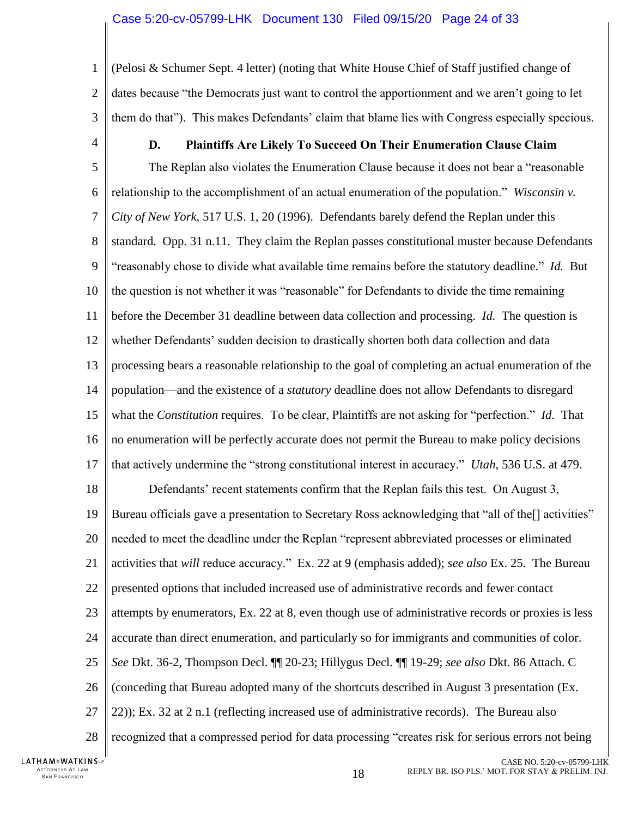1  $\overline{2}$ 3 (Pelosi & Schumer Sept. 4 letter) (noting that White House Chief of Staff justified change of dates because "the Democrats just want to control the apportionment and we aren't going to let them do that"). This makes Defendants' claim that blame lies with Congress especially specious.

<span id="page-23-0"></span>4

## <span id="page-23-2"></span>**D. Plaintiffs Are Likely To Succeed On Their Enumeration Clause Claim**

5 6 7 8 9 10 11 12 13 14 15 16 17 The Replan also violates the Enumeration Clause because it does not bear a "reasonable relationship to the accomplishment of an actual enumeration of the population." *Wisconsin v. City of New York*, 517 U.S. 1, 20 (1996). Defendants barely defend the Replan under this standard. Opp. 31 n.11. They claim the Replan passes constitutional muster because Defendants "reasonably chose to divide what available time remains before the statutory deadline." *Id.* But the question is not whether it was "reasonable" for Defendants to divide the time remaining before the December 31 deadline between data collection and processing. *Id.* The question is whether Defendants' sudden decision to drastically shorten both data collection and data processing bears a reasonable relationship to the goal of completing an actual enumeration of the population—and the existence of a *statutory* deadline does not allow Defendants to disregard what the *Constitution* requires. To be clear, Plaintiffs are not asking for "perfection." *Id.* That no enumeration will be perfectly accurate does not permit the Bureau to make policy decisions that actively undermine the "strong constitutional interest in accuracy." *Utah*, 536 U.S. at 479.

<span id="page-23-1"></span>18 19 20 21 22 23 24 25 26 27 28 Defendants' recent statements confirm that the Replan fails this test. On August 3, Bureau officials gave a presentation to Secretary Ross acknowledging that "all of the[] activities" needed to meet the deadline under the Replan "represent abbreviated processes or eliminated activities that *will* reduce accuracy." Ex. 22 at 9 (emphasis added); *see also* Ex. 25. The Bureau presented options that included increased use of administrative records and fewer contact attempts by enumerators, Ex. 22 at 8, even though use of administrative records or proxies is less accurate than direct enumeration, and particularly so for immigrants and communities of color. *See* Dkt. 36-2, Thompson Decl. ¶¶ 20-23; Hillygus Decl. ¶¶ 19-29; *see also* Dkt. 86 Attach. C (conceding that Bureau adopted many of the shortcuts described in August 3 presentation (Ex. 22)); Ex. 32 at 2 n.1 (reflecting increased use of administrative records). The Bureau also recognized that a compressed period for data processing "creates risk for serious errors not being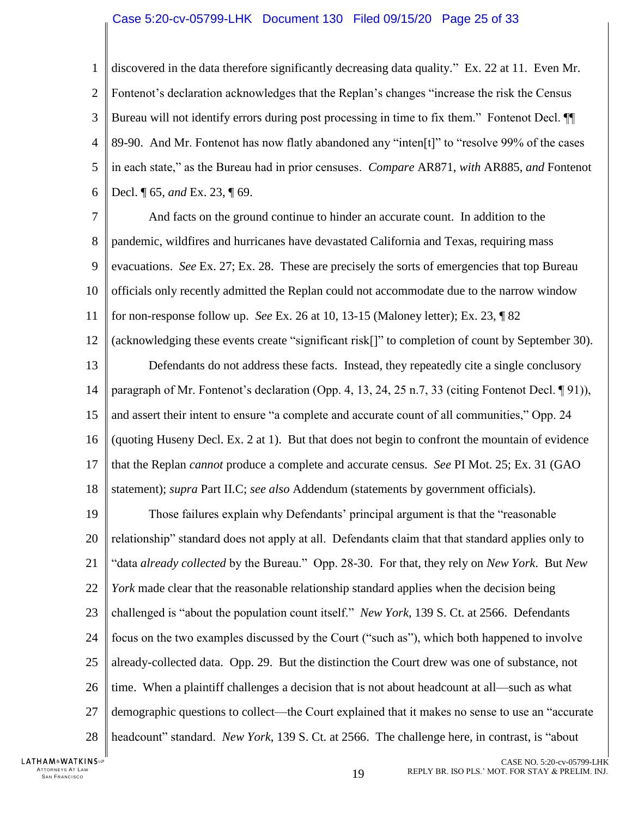#### Case 5:20-cv-05799-LHK Document 130 Filed 09/15/20 Page 25 of 33

1  $\overline{2}$ 3 4 5 6 discovered in the data therefore significantly decreasing data quality." Ex. 22 at 11. Even Mr. Fontenot's declaration acknowledges that the Replan's changes "increase the risk the Census Bureau will not identify errors during post processing in time to fix them." Fontenot Decl. ¶¶ 89-90. And Mr. Fontenot has now flatly abandoned any "inten[t]" to "resolve 99% of the cases in each state," as the Bureau had in prior censuses. *Compare* AR871, *with* AR885, *and* Fontenot Decl. ¶ 65, *and* Ex. 23, ¶ 69.

7 8 9 10 11 12 13 14 15 16 17 And facts on the ground continue to hinder an accurate count. In addition to the pandemic, wildfires and hurricanes have devastated California and Texas, requiring mass evacuations. *See Ex. 27; Ex. 28.* These are precisely the sorts of emergencies that top Bureau officials only recently admitted the Replan could not accommodate due to the narrow window for non-response follow up. *See* Ex. 26 at 10, 13-15 (Maloney letter); Ex. 23, ¶ 82 (acknowledging these events create "significant risk[]" to completion of count by September 30). Defendants do not address these facts. Instead, they repeatedly cite a single conclusory paragraph of Mr. Fontenot's declaration (Opp. 4, 13, 24, 25 n.7, 33 (citing Fontenot Decl. ¶ 91)), and assert their intent to ensure "a complete and accurate count of all communities," Opp. 24 (quoting Huseny Decl. Ex. 2 at 1). But that does not begin to confront the mountain of evidence that the Replan *cannot* produce a complete and accurate census. *See* PI Mot. 25; Ex. 31 (GAO

18 statement); *supra* Part II.C; *see also* Addendum (statements by government officials).

19 20 21 22 23 24 25 26 27 28 Those failures explain why Defendants' principal argument is that the "reasonable relationship" standard does not apply at all. Defendants claim that that standard applies only to "data *already collected* by the Bureau." Opp. 28-30. For that, they rely on *New York*. But *New York* made clear that the reasonable relationship standard applies when the decision being challenged is "about the population count itself." *New York*, 139 S. Ct. at 2566. Defendants focus on the two examples discussed by the Court ("such as"), which both happened to involve already-collected data. Opp. 29. But the distinction the Court drew was one of substance, not time. When a plaintiff challenges a decision that is not about headcount at all—such as what demographic questions to collect—the Court explained that it makes no sense to use an "accurate headcount" standard. *New York*, 139 S. Ct. at 2566. The challenge here, in contrast, is "about

LATHAM&WATKINSLP ATTORNEYS AT LAW<br>SAN FRANCISCO TTORNEYS AT LAW  $_{\textrm{SAN FRANCISCO}}$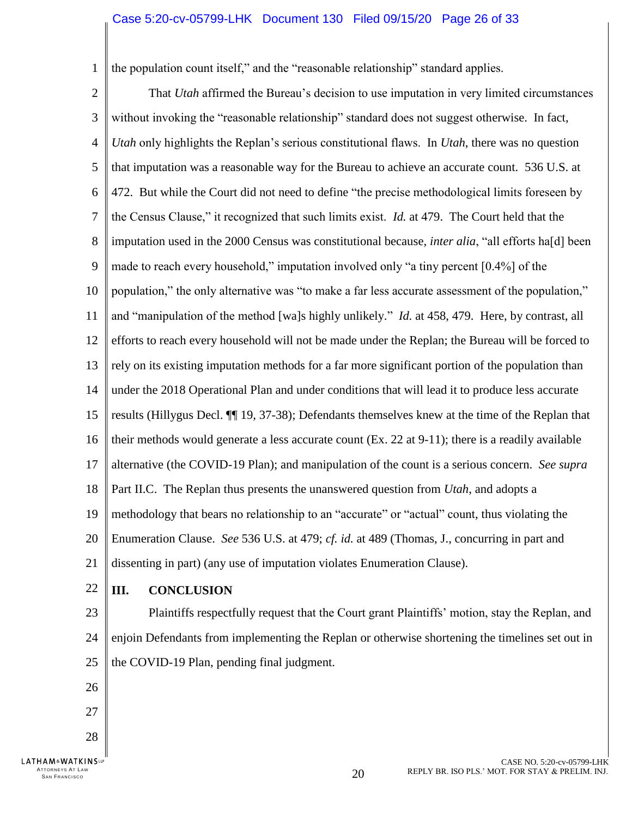#### Case 5:20-cv-05799-LHK Document 130 Filed 09/15/20 Page 26 of 33

<span id="page-25-1"></span>the population count itself," and the "reasonable relationship" standard applies.

2 3 4 5 6 7 8 9 10 11 12 13 14 15 16 17 18 19 20 21 That *Utah* affirmed the Bureau's decision to use imputation in very limited circumstances without invoking the "reasonable relationship" standard does not suggest otherwise. In fact, *Utah* only highlights the Replan's serious constitutional flaws. In *Utah*, there was no question that imputation was a reasonable way for the Bureau to achieve an accurate count. 536 U.S. at 472. But while the Court did not need to define "the precise methodological limits foreseen by the Census Clause," it recognized that such limits exist. *Id.* at 479. The Court held that the imputation used in the 2000 Census was constitutional because, *inter alia*, "all efforts ha[d] been made to reach every household," imputation involved only "a tiny percent [0.4%] of the population," the only alternative was "to make a far less accurate assessment of the population," and "manipulation of the method [wa]s highly unlikely." *Id.* at 458, 479. Here, by contrast, all efforts to reach every household will not be made under the Replan; the Bureau will be forced to rely on its existing imputation methods for a far more significant portion of the population than under the 2018 Operational Plan and under conditions that will lead it to produce less accurate results (Hillygus Decl. ¶¶ 19, 37-38); Defendants themselves knew at the time of the Replan that their methods would generate a less accurate count (Ex. 22 at 9-11); there is a readily available alternative (the COVID-19 Plan); and manipulation of the count is a serious concern. *See supra*  Part II.C. The Replan thus presents the unanswered question from *Utah*, and adopts a methodology that bears no relationship to an "accurate" or "actual" count, thus violating the Enumeration Clause. *See* 536 U.S. at 479; *cf. id.* at 489 (Thomas, J., concurring in part and dissenting in part) (any use of imputation violates Enumeration Clause).

22

26

27

28

1

ATTORNEYS AT LAW<br>SAN FRANCISCO

**LATHAM**<sup>&</sup>WATKINSLP

#### <span id="page-25-0"></span>**III. CONCLUSION**

23 24 25 Plaintiffs respectfully request that the Court grant Plaintiffs' motion, stay the Replan, and enjoin Defendants from implementing the Replan or otherwise shortening the timelines set out in the COVID-19 Plan, pending final judgment.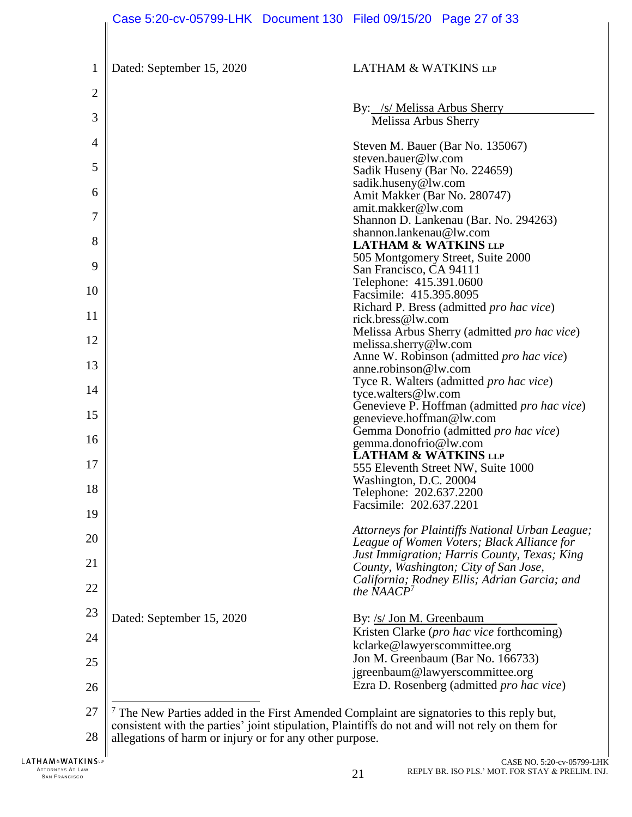|                | Case 5:20-cv-05799-LHK Document 130 Filed 09/15/20 Page 27 of 33                                                                                                                               |  |                                                            |                                                                                            |
|----------------|------------------------------------------------------------------------------------------------------------------------------------------------------------------------------------------------|--|------------------------------------------------------------|--------------------------------------------------------------------------------------------|
|                |                                                                                                                                                                                                |  |                                                            |                                                                                            |
| $\mathbf{1}$   | Dated: September 15, 2020                                                                                                                                                                      |  | <b>LATHAM &amp; WATKINS LLP</b>                            |                                                                                            |
| $\overline{2}$ |                                                                                                                                                                                                |  |                                                            |                                                                                            |
| 3              |                                                                                                                                                                                                |  | By: /s/ Melissa Arbus Sherry<br>Melissa Arbus Sherry       |                                                                                            |
| 4              |                                                                                                                                                                                                |  | steven.bauer@lw.com                                        | Steven M. Bauer (Bar No. 135067)                                                           |
| 5              |                                                                                                                                                                                                |  | Sadik Huseny (Bar No. 224659)                              |                                                                                            |
| 6              |                                                                                                                                                                                                |  | sadik.huseny@lw.com<br>Amit Makker (Bar No. 280747)        |                                                                                            |
| 7              |                                                                                                                                                                                                |  | amit.makker@lw.com                                         | Shannon D. Lankenau (Bar. No. 294263)                                                      |
| 8              |                                                                                                                                                                                                |  | shannon.lankenau@lw.com<br><b>LATHAM &amp; WATKINS LLP</b> |                                                                                            |
| 9              |                                                                                                                                                                                                |  | San Francisco, CA 94111                                    | 505 Montgomery Street, Suite 2000                                                          |
| 10             |                                                                                                                                                                                                |  | Telephone: 415.391.0600<br>Facsimile: 415.395.8095         |                                                                                            |
| 11             |                                                                                                                                                                                                |  | rick.bress@lw.com                                          | Richard P. Bress (admitted pro hac vice)                                                   |
| 12             |                                                                                                                                                                                                |  | melissa.sherry@lw.com                                      | Melissa Arbus Sherry (admitted pro hac vice)                                               |
| 13             |                                                                                                                                                                                                |  | anne.robinson@lw.com                                       | Anne W. Robinson (admitted pro hac vice)                                                   |
| 14             |                                                                                                                                                                                                |  | tyce.walters@lw.com                                        | Tyce R. Walters (admitted pro hac vice)                                                    |
| 15             |                                                                                                                                                                                                |  | genevieve.hoffman@lw.com                                   | Genevieve P. Hoffman (admitted <i>pro hac vice</i> )                                       |
| 16             |                                                                                                                                                                                                |  |                                                            | Gemma Donofrio (admitted pro hac vice)                                                     |
| 17             |                                                                                                                                                                                                |  | gemma.donofrio@lw.com<br><b>LATHAM &amp; WATKINS LLP</b>   |                                                                                            |
| 18             |                                                                                                                                                                                                |  | Washington, D.C. 20004                                     | 555 Eleventh Street NW, Suite 1000                                                         |
| 19             |                                                                                                                                                                                                |  | Telephone: 202.637.2200<br>Facsimile: 202.637.2201         |                                                                                            |
|                |                                                                                                                                                                                                |  |                                                            | Attorneys for Plaintiffs National Urban League;                                            |
| 20             |                                                                                                                                                                                                |  |                                                            | League of Women Voters; Black Alliance for<br>Just Immigration; Harris County, Texas; King |
| 21             |                                                                                                                                                                                                |  |                                                            | County, Washington; City of San Jose,<br>California; Rodney Ellis; Adrian Garcia; and      |
| 22             |                                                                                                                                                                                                |  | the $NAACP^7$                                              |                                                                                            |
| 23             | Dated: September 15, 2020                                                                                                                                                                      |  | By: /s/ Jon M. Greenbaum                                   | Kristen Clarke (pro hac vice forthcoming)                                                  |
| 24             |                                                                                                                                                                                                |  | kclarke@lawyerscommittee.org                               |                                                                                            |
| 25             |                                                                                                                                                                                                |  |                                                            | Jon M. Greenbaum (Bar No. 166733)<br>jgreenbaum@lawyerscommittee.org                       |
| 26             |                                                                                                                                                                                                |  |                                                            | Ezra D. Rosenberg (admitted <i>pro hac vice</i> )                                          |
| 27             | $7$ The New Parties added in the First Amended Complaint are signatories to this reply but,<br>consistent with the parties' joint stipulation, Plaintiffs do not and will not rely on them for |  |                                                            |                                                                                            |
| 28             | allegations of harm or injury or for any other purpose.                                                                                                                                        |  |                                                            |                                                                                            |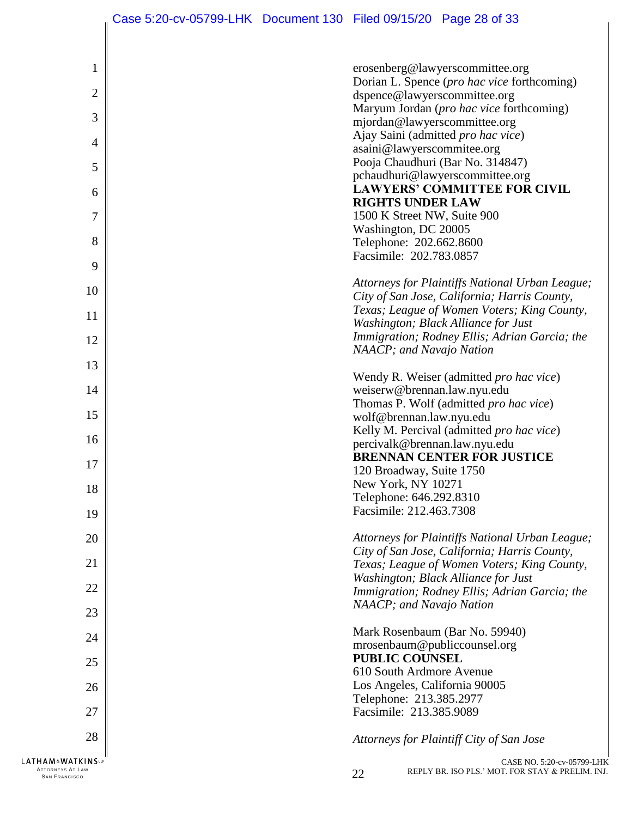$\parallel$ 

| $\mathbf{1}$                                  | erosenberg@lawyerscommittee.org                                                      |
|-----------------------------------------------|--------------------------------------------------------------------------------------|
| $\overline{2}$                                | Dorian L. Spence (pro hac vice forthcoming)                                          |
|                                               | dspence@lawyerscommittee.org<br>Maryum Jordan (pro hac vice forthcoming)             |
| 3                                             | mjordan@lawyerscommittee.org                                                         |
| 4                                             | Ajay Saini (admitted pro hac vice)                                                   |
|                                               | asaini@lawyerscommitee.org<br>Pooja Chaudhuri (Bar No. 314847)                       |
| 5                                             | pchaudhuri@lawyerscommittee.org                                                      |
| 6                                             | <b>LAWYERS' COMMITTEE FOR CIVIL</b>                                                  |
| $\overline{7}$                                | <b>RIGHTS UNDER LAW</b><br>1500 K Street NW, Suite 900                               |
|                                               | Washington, DC 20005                                                                 |
| 8                                             | Telephone: 202.662.8600                                                              |
| 9                                             | Facsimile: 202.783.0857                                                              |
|                                               | Attorneys for Plaintiffs National Urban League;                                      |
| 10                                            | City of San Jose, California; Harris County,                                         |
| 11                                            | Texas; League of Women Voters; King County,                                          |
| 12                                            | Washington; Black Alliance for Just<br>Immigration; Rodney Ellis; Adrian Garcia; the |
|                                               | NAACP; and Navajo Nation                                                             |
| 13                                            |                                                                                      |
| 14                                            | Wendy R. Weiser (admitted pro hac vice)<br>weiserw@brennan.law.nyu.edu               |
|                                               | Thomas P. Wolf (admitted pro hac vice)                                               |
| 15                                            | wolf@brennan.law.nyu.edu                                                             |
| 16                                            | Kelly M. Percival (admitted pro hac vice)<br>percivalk@brennan.law.nyu.edu           |
| 17                                            | <b>BRENNAN CENTER FOR JUSTICE</b>                                                    |
|                                               | 120 Broadway, Suite 1750                                                             |
| 18                                            | New York, NY 10271<br>Telephone: 646.292.8310                                        |
| 19                                            | Facsimile: 212.463.7308                                                              |
| 20                                            | Attorneys for Plaintiffs National Urban League;                                      |
|                                               | City of San Jose, California; Harris County,                                         |
| 21                                            | Texas; League of Women Voters; King County,                                          |
| 22                                            | Washington; Black Alliance for Just<br>Immigration; Rodney Ellis; Adrian Garcia; the |
|                                               | NAACP; and Navajo Nation                                                             |
| 23                                            |                                                                                      |
| 24                                            | Mark Rosenbaum (Bar No. 59940)<br>mrosenbaum@publiccounsel.org                       |
| 25                                            | <b>PUBLIC COUNSEL</b>                                                                |
|                                               | 610 South Ardmore Avenue                                                             |
| 26                                            | Los Angeles, California 90005<br>Telephone: 213.385.2977                             |
| 27                                            | Facsimile: 213.385.9089                                                              |
| 28                                            |                                                                                      |
|                                               | Attorneys for Plaintiff City of San Jose                                             |
| <b>LATHAM&amp;WATKINS</b><br>ATTORNEYS AT LAW | CASE NO. 5:20-cv-05799-LI<br>REPLY BR. ISO PLS.' MOT. FOR STAY & PRELIM. II<br>22    |
| <b>SAN FRANCISCO</b>                          |                                                                                      |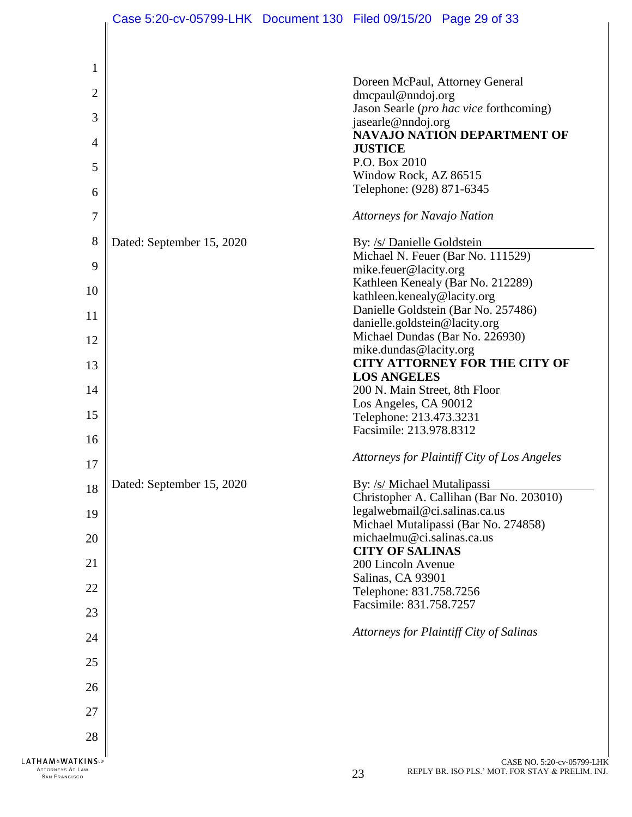|                                                                         |                           | Case 5:20-cv-05799-LHK Document 130 Filed 09/15/20 Page 29 of 33                     |
|-------------------------------------------------------------------------|---------------------------|--------------------------------------------------------------------------------------|
|                                                                         |                           |                                                                                      |
| $\mathbf{1}$                                                            |                           |                                                                                      |
|                                                                         |                           | Doreen McPaul, Attorney General                                                      |
| $\overline{2}$                                                          |                           | $d$ mcpaul@nndoj.org<br>Jason Searle (pro hac vice forthcoming)                      |
| 3                                                                       |                           | jasearle@nndoj.org                                                                   |
| $\overline{4}$                                                          |                           | <b>NAVAJO NATION DEPARTMENT OF</b>                                                   |
|                                                                         |                           | <b>JUSTICE</b><br>P.O. Box 2010                                                      |
| 5                                                                       |                           | Window Rock, AZ 86515                                                                |
| 6                                                                       |                           | Telephone: (928) 871-6345                                                            |
| $\overline{7}$                                                          |                           | <b>Attorneys for Navajo Nation</b>                                                   |
| 8                                                                       | Dated: September 15, 2020 | By: /s/ Danielle Goldstein                                                           |
| 9                                                                       |                           | Michael N. Feuer (Bar No. 111529)<br>mike.feuer@lacity.org                           |
|                                                                         |                           | Kathleen Kenealy (Bar No. 212289)                                                    |
| 10                                                                      |                           | kathleen.kenealy@lacity.org                                                          |
| 11                                                                      |                           | Danielle Goldstein (Bar No. 257486)<br>danielle.goldstein@lacity.org                 |
| 12                                                                      |                           | Michael Dundas (Bar No. 226930)                                                      |
|                                                                         |                           | mike.dundas@lacity.org                                                               |
| 13                                                                      |                           | <b>CITY ATTORNEY FOR THE CITY OF</b>                                                 |
| 14                                                                      |                           | <b>LOS ANGELES</b><br>200 N. Main Street, 8th Floor                                  |
|                                                                         |                           | Los Angeles, CA 90012                                                                |
| 15                                                                      |                           | Telephone: 213.473.3231<br>Facsimile: 213.978.8312                                   |
| 16                                                                      |                           |                                                                                      |
| 17                                                                      |                           | Attorneys for Plaintiff City of Los Angeles                                          |
| 18                                                                      | Dated: September 15, 2020 | By: /s/ Michael Mutalipassi                                                          |
|                                                                         |                           | Christopher A. Callihan (Bar No. 203010)<br>legalwebmail@ci.salinas.ca.us            |
| 19                                                                      |                           | Michael Mutalipassi (Bar No. 274858)                                                 |
| 20                                                                      |                           | michaelmu@ci.salinas.ca.us                                                           |
| 21                                                                      |                           | <b>CITY OF SALINAS</b><br>200 Lincoln Avenue                                         |
|                                                                         |                           | Salinas, CA 93901                                                                    |
| 22                                                                      |                           | Telephone: 831.758.7256                                                              |
| 23                                                                      |                           | Facsimile: 831.758.7257                                                              |
| 24                                                                      |                           | Attorneys for Plaintiff City of Salinas                                              |
| 25                                                                      |                           |                                                                                      |
| 26                                                                      |                           |                                                                                      |
| 27                                                                      |                           |                                                                                      |
| 28                                                                      |                           |                                                                                      |
| <b>LATHAM&amp;WATKINSLP</b><br>ATTORNEYS AT LAW<br><b>SAN FRANCISCO</b> |                           | CASE NO. 5:20-cv-05799-LHK<br>REPLY BR. ISO PLS.' MOT. FOR STAY & PRELIM. INJ.<br>23 |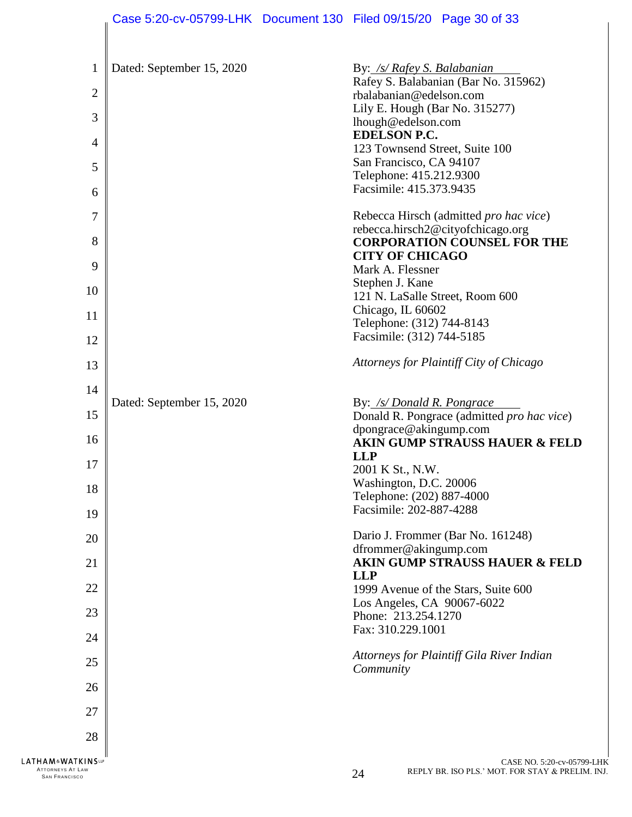|                                                                         |                           | Case 5:20-cv-05799-LHK Document 130 Filed 09/15/20 Page 30 of 33             |
|-------------------------------------------------------------------------|---------------------------|------------------------------------------------------------------------------|
|                                                                         |                           |                                                                              |
| 1                                                                       | Dated: September 15, 2020 | By: /s/ Rafey S. Balabanian                                                  |
| $\overline{2}$                                                          |                           | Rafey S. Balabanian (Bar No. 315962)<br>rbalabanian@edelson.com              |
|                                                                         |                           | Lily E. Hough (Bar No. 315277)                                               |
| 3                                                                       |                           | lhough@edelson.com                                                           |
| $\overline{4}$                                                          |                           | <b>EDELSON P.C.</b><br>123 Townsend Street, Suite 100                        |
| 5                                                                       |                           | San Francisco, CA 94107                                                      |
| 6                                                                       |                           | Telephone: 415.212.9300<br>Facsimile: 415.373.9435                           |
|                                                                         |                           |                                                                              |
| 7                                                                       |                           | Rebecca Hirsch (admitted pro hac vice)<br>rebecca.hirsch2@cityofchicago.org  |
| 8                                                                       |                           | <b>CORPORATION COUNSEL FOR THE</b>                                           |
| 9                                                                       |                           | <b>CITY OF CHICAGO</b><br>Mark A. Flessner                                   |
|                                                                         |                           | Stephen J. Kane                                                              |
| 10                                                                      |                           | 121 N. LaSalle Street, Room 600                                              |
| 11                                                                      |                           | Chicago, IL 60602<br>Telephone: (312) 744-8143                               |
| 12                                                                      |                           | Facsimile: (312) 744-5185                                                    |
| 13                                                                      |                           | Attorneys for Plaintiff City of Chicago                                      |
| 14                                                                      |                           |                                                                              |
|                                                                         | Dated: September 15, 2020 | By: /s/ Donald R. Pongrace                                                   |
| 15                                                                      |                           | Donald R. Pongrace (admitted pro hac vice)<br>dpongrace@akingump.com         |
| 16                                                                      |                           | <b>AKIN GUMP STRAUSS HAUER &amp; FELD</b>                                    |
| 17                                                                      |                           | <b>LLP</b><br>2001 K St., N.W.                                               |
| 18                                                                      |                           | Washington, D.C. 20006                                                       |
|                                                                         |                           | Telephone: (202) 887-4000<br>Facsimile: 202-887-4288                         |
| 19                                                                      |                           |                                                                              |
| 20                                                                      |                           | Dario J. Frommer (Bar No. 161248)<br>dfrommer@akingump.com                   |
| 21                                                                      |                           | <b>AKIN GUMP STRAUSS HAUER &amp; FELD</b>                                    |
| 22                                                                      |                           | <b>LLP</b><br>1999 Avenue of the Stars, Suite 600                            |
| 23                                                                      |                           | Los Angeles, CA 90067-6022<br>Phone: 213.254.1270                            |
| 24                                                                      |                           | Fax: 310.229.1001                                                            |
| 25                                                                      |                           | Attorneys for Plaintiff Gila River Indian<br>Community                       |
| 26                                                                      |                           |                                                                              |
| 27                                                                      |                           |                                                                              |
| 28                                                                      |                           |                                                                              |
| <b>LATHAM&amp;WATKINSUP</b><br>ATTORNEYS AT LAW<br><b>SAN FRANCISCO</b> |                           | CASE NO. 5:20-cv-05799-<br>REPLY BR. ISO PLS.' MOT. FOR STAY & PRELIM.<br>24 |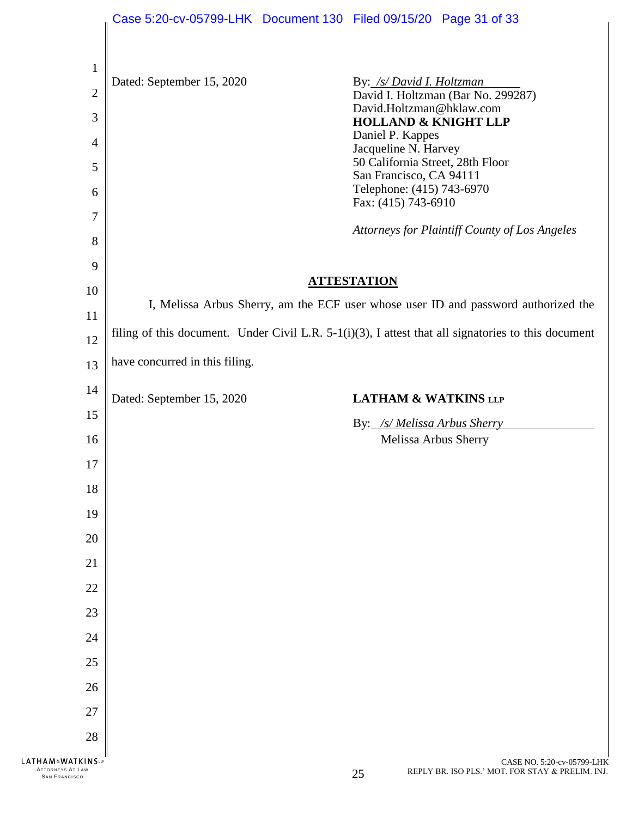|                                                 | Case 5:20-cv-05799-LHK Document 130 Filed 09/15/20 Page 31 of 33                                    |  |                                                          |                                                                                    |  |
|-------------------------------------------------|-----------------------------------------------------------------------------------------------------|--|----------------------------------------------------------|------------------------------------------------------------------------------------|--|
|                                                 |                                                                                                     |  |                                                          |                                                                                    |  |
| $\mathbf{1}$                                    |                                                                                                     |  |                                                          |                                                                                    |  |
| $\overline{2}$                                  | Dated: September 15, 2020                                                                           |  | By: /s/ David I. Holtzman                                | David I. Holtzman (Bar No. 299287)                                                 |  |
| 3                                               |                                                                                                     |  | David.Holtzman@hklaw.com                                 |                                                                                    |  |
| $\overline{4}$                                  |                                                                                                     |  | <b>HOLLAND &amp; KNIGHT LLP</b><br>Daniel P. Kappes      |                                                                                    |  |
| 5                                               |                                                                                                     |  | Jacqueline N. Harvey<br>50 California Street, 28th Floor |                                                                                    |  |
|                                                 |                                                                                                     |  | San Francisco, CA 94111<br>Telephone: (415) 743-6970     |                                                                                    |  |
| 6                                               |                                                                                                     |  | Fax: (415) 743-6910                                      |                                                                                    |  |
| $\tau$                                          |                                                                                                     |  |                                                          | Attorneys for Plaintiff County of Los Angeles                                      |  |
| 8                                               |                                                                                                     |  |                                                          |                                                                                    |  |
| 9                                               |                                                                                                     |  | <b>ATTESTATION</b>                                       |                                                                                    |  |
| 10                                              |                                                                                                     |  |                                                          | I, Melissa Arbus Sherry, am the ECF user whose user ID and password authorized the |  |
| 11                                              | filing of this document. Under Civil L.R. 5-1(i)(3), I attest that all signatories to this document |  |                                                          |                                                                                    |  |
| 12                                              |                                                                                                     |  |                                                          |                                                                                    |  |
| 13                                              | have concurred in this filing.                                                                      |  |                                                          |                                                                                    |  |
| 14                                              | Dated: September 15, 2020                                                                           |  | <b>LATHAM &amp; WATKINS LLP</b>                          |                                                                                    |  |
| 15                                              |                                                                                                     |  | By: /s/ Melissa Arbus Sherry                             |                                                                                    |  |
| 16                                              |                                                                                                     |  | Melissa Arbus Sherry                                     |                                                                                    |  |
| 17                                              |                                                                                                     |  |                                                          |                                                                                    |  |
| 18                                              |                                                                                                     |  |                                                          |                                                                                    |  |
| 19                                              |                                                                                                     |  |                                                          |                                                                                    |  |
| 20                                              |                                                                                                     |  |                                                          |                                                                                    |  |
| 21                                              |                                                                                                     |  |                                                          |                                                                                    |  |
| 22                                              |                                                                                                     |  |                                                          |                                                                                    |  |
| 23                                              |                                                                                                     |  |                                                          |                                                                                    |  |
| 24                                              |                                                                                                     |  |                                                          |                                                                                    |  |
| 25                                              |                                                                                                     |  |                                                          |                                                                                    |  |
| 26                                              |                                                                                                     |  |                                                          |                                                                                    |  |
| 27                                              |                                                                                                     |  |                                                          |                                                                                    |  |
| 28                                              |                                                                                                     |  |                                                          |                                                                                    |  |
| <b>LATHAM&amp;WATKINSLP</b><br>ATTORNEYS AT LAW |                                                                                                     |  |                                                          | CASE NO. 5:20-cv-05799-LHK<br>REPLY BR. ISO PLS.' MOT. FOR STAY & PRELIM. INJ.     |  |
| <b>SAN FRANCISCO</b>                            |                                                                                                     |  | 25                                                       |                                                                                    |  |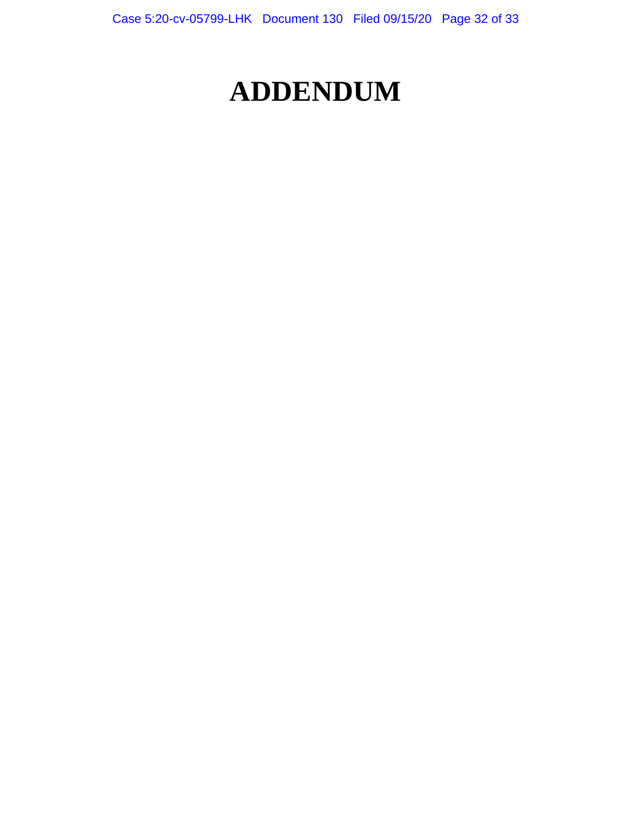# **ADDENDUM**